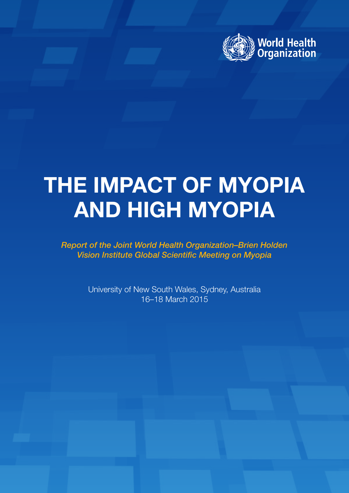

### INE IMPAUL UF MITUPI **PREVALUE DE LA PREVALENCE DE LA PREVALENCE DE LA PREVALENCE DE LA PREVALENCE DE LA PREVALENCE DE LA PREVALENCE**<br>Presenta de la prevalence de la prevalence de la prevalence de la prevalence de la prevalence de la prevalenc THE IMPACT OF MYOPIA AND HIGH MYOPIA

Report of the Joint World Health Organization *Report of the Joint World Health Organization–Brien Holden Vision Institute Global Scientific Meeting on Myopia*

> University of New South Wales, Sydney, Australia 16–18 March 2015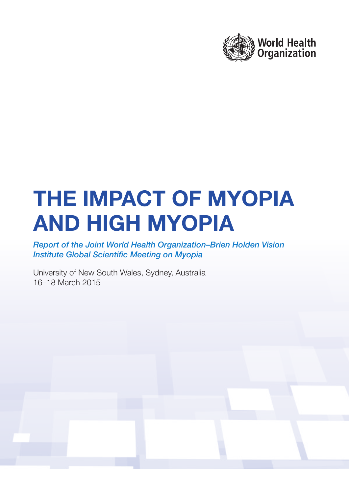

# THE IMPACT OF MYOPIA AND HIGH MYOPIA

*Report of the Joint World Health Organization–Brien Holden Vision Institute Global Scientific Meeting on Myopia*

University of New South Wales, Sydney, Australia 16–18 March 2015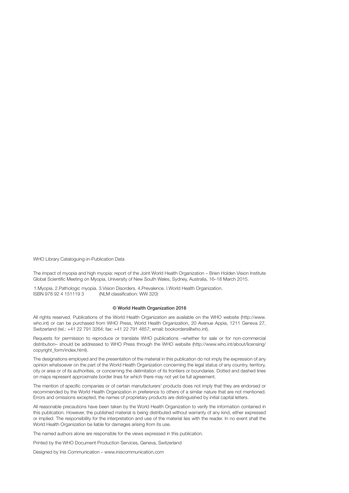WHO Library Cataloguing-in-Publication Data

The impact of myopia and high myopia: report of the Joint World Health Organization – Brien Holden Vision Institute Global Scientific Meeting on Myopia, University of New South Wales, Sydney, Australia, 16–18 March 2015.

1.Myopia. 2.Pathologic myopia. 3.Vision Disorders. 4.Prevalence. I.World Health Organization. ISBN 978 92 4 151119 3 (NLM classification: WW 320)

#### © World Health Organization 2016

All rights reserved. Publications of the World Health Organization are available on the WHO website (http://www. who.int) or can be purchased from WHO Press, World Health Organization, 20 Avenue Appia, 1211 Geneva 27, Switzerland (tel.: +41 22 791 3264; fax: +41 22 791 4857; email: bookorders@who.int).

Requests for permission to reproduce or translate WHO publications –whether for sale or for non-commercial distribution– should be addressed to WHO Press through the WHO website (http://www.who.int/about/licensing/ copyright\_form/index.html).

The designations employed and the presentation of the material in this publication do not imply the expression of any opinion whatsoever on the part of the World Health Organization concerning the legal status of any country, territory, city or area or of its authorities, or concerning the delimitation of its frontiers or boundaries. Dotted and dashed lines on maps represent approximate border lines for which there may not yet be full agreement.

The mention of specific companies or of certain manufacturers' products does not imply that they are endorsed or recommended by the World Health Organization in preference to others of a similar nature that are not mentioned. Errors and omissions excepted, the names of proprietary products are distinguished by initial capital letters.

All reasonable precautions have been taken by the World Health Organization to verify the information contained in this publication. However, the published material is being distributed without warranty of any kind, either expressed or implied. The responsibility for the interpretation and use of the material lies with the reader. In no event shall the World Health Organization be liable for damages arising from its use.

The named authors alone are responsible for the views expressed in this publication.

Printed by the WHO Document Production Services, Geneva, Switzerland

Designed by Inís Communication – www.iniscommunication.com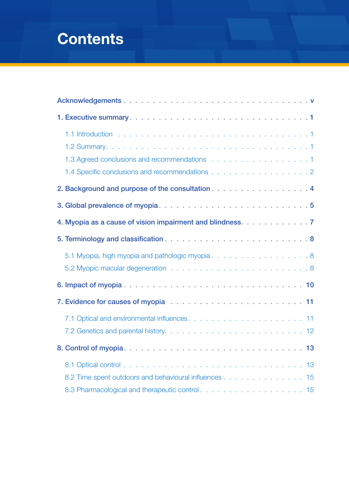### **Contents**

| 1.3 Agreed conclusions and recommendations 1               |
|------------------------------------------------------------|
| 1.4 Specific conclusions and recommendations 2             |
| 2. Background and purpose of the consultation 4            |
|                                                            |
| 4. Myopia as a cause of vision impairment and blindness. 7 |
|                                                            |
| 5.1 Myopia, high myopia and pathologic myopia8             |
|                                                            |
|                                                            |
|                                                            |
|                                                            |
|                                                            |
|                                                            |
|                                                            |
| 8.2 Time spent outdoors and behavioural influences 15      |
|                                                            |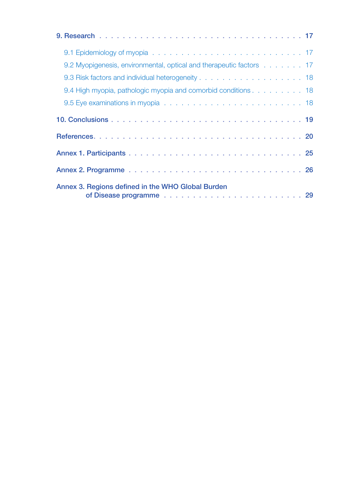| 9.2 Myopigenesis, environmental, optical and therapeutic factors 17            |
|--------------------------------------------------------------------------------|
|                                                                                |
| 9.4 High myopia, pathologic myopia and comorbid conditions $\dots \dots \dots$ |
|                                                                                |
|                                                                                |
|                                                                                |
|                                                                                |
|                                                                                |
| Annex 3. Regions defined in the WHO Global Burden                              |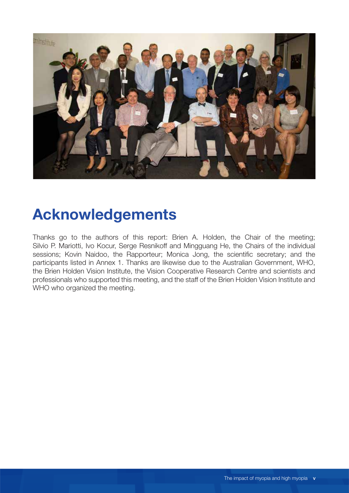

## **Acknowledgements**

*Report of the Joint World Health Organization–Brien Holden*  the Brien Holden Vision Institute, the Vision Cooperative Research Centre and scientists and *Vision Institute Global Scientific Meeting on Myopia* professionals who supported this meeting, and the staff of the Brien Holden Vision Institute and Thanks go to the authors of this report: Brien A. Holden, the<br>Silvio P. Mariotti, Ivo Kocur, Serge Resnikoff and Mingguang He,<br>sessions: Kovin Naidoo, the Bapporteur: Monica Jong, the sc Thanks go to the authors of this report: Brien A. Holden, the Chair of the meeting; Silvio P. Mariotti, Ivo Kocur, Serge Resnikoff and Mingguang He, the Chairs of the individual sessions; Kovin Naidoo, the Rapporteur; Monica Jong, the scientific secretary; and the participants listed in Annex 1. Thanks are likewise due to the Australian Government, WHO, WHO who organized the meeting.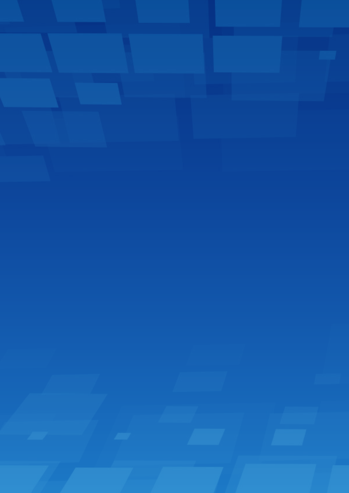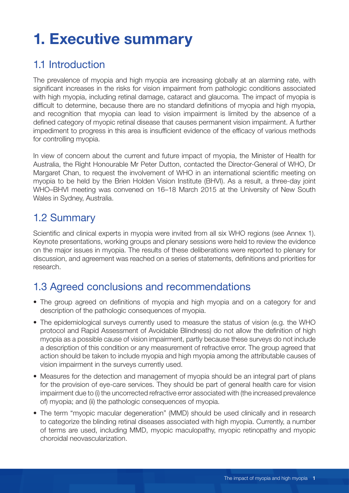### 1. Executive summary

### 1.1 Introduction

The prevalence of myopia and high myopia are increasing globally at an alarming rate, with significant increases in the risks for vision impairment from pathologic conditions associated with high myopia, including retinal damage, cataract and glaucoma. The impact of myopia is difficult to determine, because there are no standard definitions of myopia and high myopia, and recognition that myopia can lead to vision impairment is limited by the absence of a defined category of myopic retinal disease that causes permanent vision impairment. A further impediment to progress in this area is insufficient evidence of the efficacy of various methods for controlling myopia.

WHO–BHVI meeting was convened on 16–18 March 2015 at the University of New South<br>Wales in Sydney, Australia. In view of concern about the current and future impact of myopia, the Minister of Health for Australia, the Right Honourable Mr Peter Dutton, contacted the Director-General of WHO, Dr Margaret Chan, to request the involvement of WHO in an international scientific meeting on myopia to be held by the Brien Holden Vision Institute (BHVI). As a result, a three-day joint Wales in Sydney, Australia.

## 1.2 Summary

*Report of the Joint World Health Organization–Brien Holden*  Scientific and clinical experts in myopia were invited from all six virto regions (see Annex 1).<br>Keynote presentations, working groups and plenary sessions were held to review the evidence<br>on the major issues in myopia. Th Scientific and clinical experts in myopia were invited from all six WHO regions (see Annex 1). on the major issues in myopia. The results of these deliberations were reported to plenary for discussion, and agreement was reached on a series of statements, definitions and priorities for research.

### 1.3 Agreed conclusions and recommendations

- The group agreed on definitions of myopia and high myopia and on a category for and description of the pathologic consequences of myopia.
- The epidemiological surveys currently used to measure the status of vision (e.g. the WHO protocol and Rapid Assessment of Avoidable Blindness) do not allow the definition of high myopia as a possible cause of vision impairment, partly because these surveys do not include a description of this condition or any measurement of refractive error. The group agreed that action should be taken to include myopia and high myopia among the attributable causes of vision impairment in the surveys currently used.
- Measures for the detection and management of myopia should be an integral part of plans for the provision of eye-care services. They should be part of general health care for vision impairment due to (i) the uncorrected refractive error associated with (the increased prevalence of) myopia; and (ii) the pathologic consequences of myopia.
- The term "myopic macular degeneration" (MMD) should be used clinically and in research to categorize the blinding retinal diseases associated with high myopia. Currently, a number of terms are used, including MMD, myopic maculopathy, myopic retinopathy and myopic choroidal neovascularization.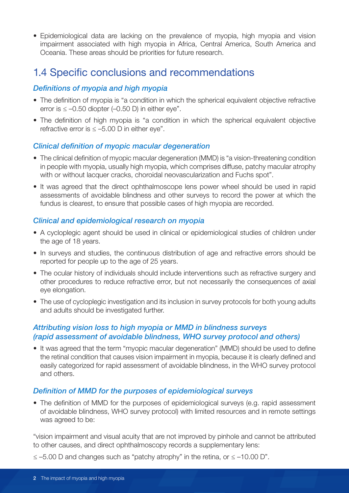• Epidemiological data are lacking on the prevalence of myopia, high myopia and vision impairment associated with high myopia in Africa, Central America, South America and Oceania. These areas should be priorities for future research.

### 1.4 Specific conclusions and recommendations

#### *Definitions of myopia and high myopia*

- The definition of myopia is "a condition in which the spherical equivalent objective refractive error is  $\le$  -0.50 diopter (-0.50 D) in either eye".
- The definition of high myopia is "a condition in which the spherical equivalent objective refractive error is  $\le -5.00$  D in either eye".

### *Clinical definition of myopic macular degeneration*

- The clinical definition of myopic macular degeneration (MMD) is "a vision-threatening condition in people with myopia, usually high myopia, which comprises diffuse, patchy macular atrophy with or without lacquer cracks, choroidal neovascularization and Fuchs spot".
- It was agreed that the direct ophthalmoscope lens power wheel should be used in rapid assessments of avoidable blindness and other surveys to record the power at which the fundus is clearest, to ensure that possible cases of high myopia are recorded.

#### *Clinical and epidemiological research on myopia*

- A cycloplegic agent should be used in clinical or epidemiological studies of children under the age of 18 years.
- In surveys and studies, the continuous distribution of age and refractive errors should be reported for people up to the age of 25 years.
- The ocular history of individuals should include interventions such as refractive surgery and other procedures to reduce refractive error, but not necessarily the consequences of axial eye elongation.
- The use of cycloplegic investigation and its inclusion in survey protocols for both young adults and adults should be investigated further.

### *Attributing vision loss to high myopia or MMD in blindness surveys (rapid assessment of avoidable blindness, WHO survey protocol and others)*

• It was agreed that the term "myopic macular degeneration" (MMD) should be used to define the retinal condition that causes vision impairment in myopia, because it is clearly defined and easily categorized for rapid assessment of avoidable blindness, in the WHO survey protocol and others.

#### *Definition of MMD for the purposes of epidemiological surveys*

• The definition of MMD for the purposes of epidemiological surveys (e.g. rapid assessment of avoidable blindness, WHO survey protocol) with limited resources and in remote settings was agreed to be:

"vision impairment and visual acuity that are not improved by pinhole and cannot be attributed to other causes, and direct ophthalmoscopy records a supplementary lens:

≤ –5.00 D and changes such as "patchy atrophy" in the retina, or ≤ –10.00 D".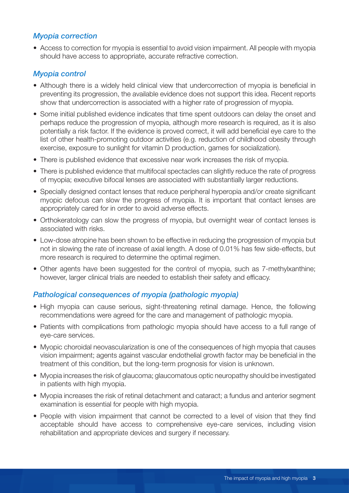#### *Myopia correction*

• Access to correction for myopia is essential to avoid vision impairment. All people with myopia should have access to appropriate, accurate refractive correction.

### *Myopia control*

- Although there is a widely held clinical view that undercorrection of myopia is beneficial in preventing its progression, the available evidence does not support this idea. Recent reports show that undercorrection is associated with a higher rate of progression of myopia.
- Some initial published evidence indicates that time spent outdoors can delay the onset and perhaps reduce the progression of myopia, although more research is required, as it is also potentially a risk factor. If the evidence is proved correct, it will add beneficial eye care to the list of other health-promoting outdoor activities (e.g. reduction of childhood obesity through exercise, exposure to sunlight for vitamin D production, games for socialization).
- There is published evidence that excessive near work increases the risk of myopia.
- There is published evidence that multifocal spectacles can slightly reduce the rate of progress of myopia; executive bifocal lenses are associated with substantially larger reductions.
- Specially designed contact lenses that reduce peripheral hyperopia and/or create significant myopic defocus can slow the progress of myopia. It is important that contact lenses are • Specially designed contact lenses that reduce peripheral hyperopia and/or create significant appropriately cared for in order to avoid adverse effects.
- appropriately cared for in order to avoid adverse effects.<br>• Orthokeratology can slow the progress of myopia, but overnight wear of contact lens<br>associated with risks. • Orthokeratology can slow the progress of myopia, but overnight wear of contact lenses is associated with risks.
- Low-dose atropine has been shown to be effective in reducing the progression of myopia but not in slowing the rate of increase of axial length. A dose of 0.01% has few side-effects, but not in slowing the rate of increase of axial length. A dose of 0.01% has few side-effects, but more research is required to determine the optimal regimen.
- Other agents have been suggested for the control of myopia, such as 7-methylxanthine; *Vision Institute Global Scientific Meeting on Myopia* however, larger clinical trials are needed to establish their safety and efficacy.

### *Pathological consequences of myopia (pathologic myopia)*

- High myopia can cause serious, sight-threatening retinal damage. Hence, the following recommendations were agreed for the care and management of pathologic myopia.
- Patients with complications from pathologic myopia should have access to a full range of eye-care services.
- Myopic choroidal neovascularization is one of the consequences of high myopia that causes vision impairment; agents against vascular endothelial growth factor may be beneficial in the treatment of this condition, but the long-term prognosis for vision is unknown.
- Myopia increases the risk of glaucoma; glaucomatous optic neuropathy should be investigated in patients with high myopia.
- Myopia increases the risk of retinal detachment and cataract; a fundus and anterior segment examination is essential for people with high myopia.
- People with vision impairment that cannot be corrected to a level of vision that they find acceptable should have access to comprehensive eye-care services, including vision rehabilitation and appropriate devices and surgery if necessary.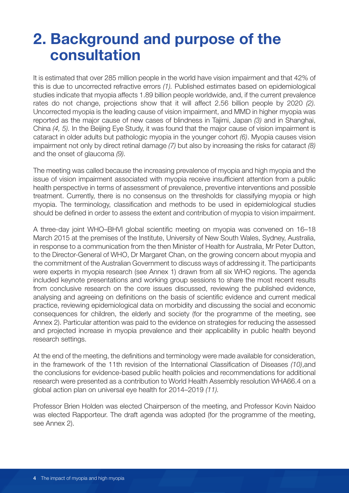### 2. Background and purpose of the consultation

It is estimated that over 285 million people in the world have vision impairment and that 42% of this is due to uncorrected refractive errors *(1).* Published estimates based on epidemiological studies indicate that myopia affects 1.89 billion people worldwide, and, if the current prevalence rates do not change, projections show that it will affect 2.56 billion people by 2020 *(2).* Uncorrected myopia is the leading cause of vision impairment, and MMD in higher myopia was reported as the major cause of new cases of blindness in Tajimi, Japan *(3)* and in Shanghai, China *(4, 5).* In the Beijing Eye Study, it was found that the major cause of vision impairment is cataract in older adults but pathologic myopia in the younger cohort *(6)*. Myopia causes vision impairment not only by direct retinal damage *(7)* but also by increasing the risks for cataract *(8)*  and the onset of glaucoma *(9).*

The meeting was called because the increasing prevalence of myopia and high myopia and the issue of vision impairment associated with myopia receive insufficient attention from a public health perspective in terms of assessment of prevalence, preventive interventions and possible treatment. Currently, there is no consensus on the thresholds for classifying myopia or high myopia. The terminology, classification and methods to be used in epidemiological studies should be defined in order to assess the extent and contribution of myopia to vision impairment.

A three-day joint WHO–BHVI global scientific meeting on myopia was convened on 16–18 March 2015 at the premises of the Institute, University of New South Wales, Sydney, Australia, in response to a communication from the then Minister of Health for Australia, Mr Peter Dutton, to the Director-General of WHO, Dr Margaret Chan, on the growing concern about myopia and the commitment of the Australian Government to discuss ways of addressing it. The participants were experts in myopia research (see Annex 1) drawn from all six WHO regions. The agenda included keynote presentations and working group sessions to share the most recent results from conclusive research on the core issues discussed, reviewing the published evidence, analysing and agreeing on definitions on the basis of scientific evidence and current medical practice, reviewing epidemiological data on morbidity and discussing the social and economic consequences for children, the elderly and society (for the programme of the meeting, see Annex 2). Particular attention was paid to the evidence on strategies for reducing the assessed and projected increase in myopia prevalence and their applicability in public health beyond research settings.

At the end of the meeting, the definitions and terminology were made available for consideration, in the framework of the 11th revision of the International Classification of Diseases *(10)*,and the conclusions for evidence-based public health policies and recommendations for additional research were presented as a contribution to World Health Assembly resolution WHA66.4 on a global action plan on universal eye health for 2014–2019 *(11).*

Professor Brien Holden was elected Chairperson of the meeting, and Professor Kovin Naidoo was elected Rapporteur. The draft agenda was adopted (for the programme of the meeting, see Annex 2).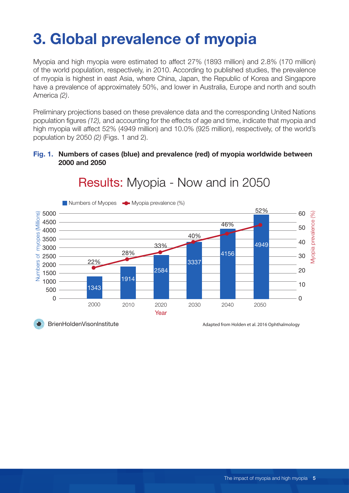### 3. Global prevalence of myopia

Myopia and high myopia were estimated to affect 27% (1893 million) and 2.8% (170 million) of the world population, respectively, in 2010. According to published studies, the prevalence of myopia is highest in east Asia, where China, Japan, the Republic of Korea and Singapore have a prevalence of approximately 50%, and lower in Australia, Europe and north and south America *(2)*.

Preliminary projections based on these prevalence data and the corresponding United Nations population figures *(12),* and accounting for the effects of age and time, indicate that myopia and high myopia will affect 52% (4949 million) and 10.0% (925 million), respectively, of the world's population by 2050 *(2)* (Figs. 1 and 2).

#### Fig. 1. Numbers of cases (blue) and prevalence (red) of myopia worldwide between 2000 and 2050



### Results: Myopia - Now and in 2050

BrienHoldenVisonInstitute Adapted from Holden et al. 2016 Ophthalmology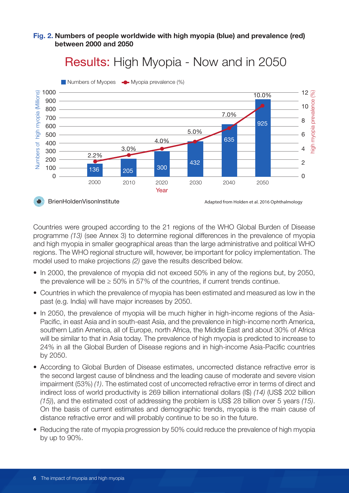#### Fig. 2. Numbers of people worldwide with high myopia (blue) and prevalence (red) between 2000 and 2050



Countries were grouped according to the 21 regions of the WHO Global Burden of Disease programme *(13)* (see Annex 3) to determine regional differences in the prevalence of myopia and high myopia in smaller geographical areas than the large administrative and political WHO regions. The WHO regional structure will, however, be important for policy implementation. The model used to make projections *(2)* gave the results described below.

- In 2000, the prevalence of myopia did not exceed 50% in any of the regions but, by 2050, the prevalence will be  $\geq 50\%$  in 57% of the countries, if current trends continue.
- Countries in which the prevalence of myopia has been estimated and measured as low in the past (e.g. India) will have major increases by 2050.
- In 2050, the prevalence of myopia will be much higher in high-income regions of the Asia-Pacific, in east Asia and in south-east Asia, and the prevalence in high-income north America, southern Latin America, all of Europe, north Africa, the Middle East and about 30% of Africa will be similar to that in Asia today. The prevalence of high myopia is predicted to increase to 24% in all the Global Burden of Disease regions and in high-income Asia-Pacific countries by 2050.
- According to Global Burden of Disease estimates, uncorrected distance refractive error is the second largest cause of blindness and the leading cause of moderate and severe vision impairment (53%) *(1)*. The estimated cost of uncorrected refractive error in terms of direct and indirect loss of world productivity is 269 billion international dollars (I\$) *(14)* (US\$ 202 billion *(15)*), and the estimated cost of addressing the problem is US\$ 28 billion over 5 years *(15)*. On the basis of current estimates and demographic trends, myopia is the main cause of distance refractive error and will probably continue to be so in the future.
- by up to 90%. • Reducing the rate of myopia progression by 50% could reduce the prevalence of high myopia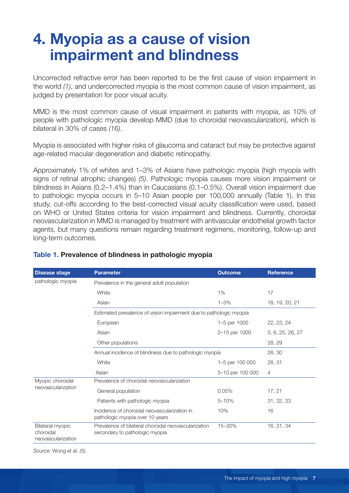### 4. Myopia as a cause of vision impairment and blindness

Uncorrected refractive error has been reported to be the first cause of vision impairment in the world *(1)*, and undercorrected myopia is the most common cause of vision impairment, as judged by presentation for poor visual acuity.

MMD is the most common cause of visual impairment in patients with myopia, as 10% of people with pathologic myopia develop MMD (due to choroidal neovascularization), which is bilateral in 30% of cases *(16)*.

Myopia is associated with higher risks of glaucoma and cataract but may be protective against age-related macular degeneration and diabetic retinopathy.

blindness in Asians (0.2–1.4%) than in Caucasians (0.1–0.5%). Overall vision impairme<br>to pathologic myopia occurs in 5–10 Asian people per 100,000 annually (Table 1).<br>study, cut-offs according to the best-corrected visual on WHO or United States criteria for vision impairment and blindness. Currently, chore<br>neovascularization in MMD is managed by treatment with antivascular endothelial growth f<br>agents, but many questions remain regarding tr long-term outcomes.<br>**Table 1. Prevalence of blindness in pathologic myopia** Approximately 1% of whites and 1–3% of Asians have pathologic myopia (high myopia with signs of retinal atrophic changes) *(5)*. Pathologic myopia causes more vision impairment or blindness in Asians (0.2–1.4%) than in Caucasians (0.1–0.5%). Overall vision impairment due to pathologic myopia occurs in 5–10 Asian people per 100,000 annually (Table 1). In this study, cut-offs according to the best-corrected visual acuity classification were used, based on WHO or United States criteria for vision impairment and blindness. Currently, choroidal neovascularization in MMD is managed by treatment with antivascular endothelial growth factor agents, but many questions remain regarding treatment regimens, monitoring, follow-up and long-term outcomes.

| <b>Disease stage</b>                                | <b>Parameter</b>                                                                       | <b>Outcome</b>   | <b>Reference</b> |  |
|-----------------------------------------------------|----------------------------------------------------------------------------------------|------------------|------------------|--|
| pathologic myopia                                   | Prevalence in the general adult population                                             |                  |                  |  |
|                                                     | White                                                                                  | $1\%$            | 17               |  |
|                                                     | Asian                                                                                  | $1 - 3%$         | 18, 19, 20, 21   |  |
|                                                     | Estimated prevalence of vision impairment due to pathologic myopia                     |                  |                  |  |
|                                                     | European                                                                               | 1-5 per 1000     | 22, 23, 24       |  |
|                                                     | Asian                                                                                  | 2-15 per 1000    | 3, 6, 25, 26, 27 |  |
|                                                     | Other populations                                                                      |                  | 28, 29           |  |
|                                                     | Annual incidence of blindness due to pathologic myopia                                 |                  | 28, 30           |  |
|                                                     | White                                                                                  | 1-5 per 100 000  | 28, 31           |  |
|                                                     | Asian                                                                                  | 5-10 per 100 000 | 4                |  |
| Myopic choroidal                                    | Prevalence of choroidal neovascularization                                             |                  |                  |  |
| neovascularization                                  | General population                                                                     | 0.05%            | 17, 21           |  |
|                                                     | Patients with pathologic myopia                                                        | $5 - 10%$        | 31, 32, 33       |  |
|                                                     | Incidence of choroidal neovascularization in<br>pathologic myopia over 10 years        | 10%              | 16               |  |
| Bilateral myopic<br>choroidal<br>neovascularization | Prevalence of bilateral choroidal neovascularization<br>secondary to pathologic myopia | 15-30%           | 16, 31, 34       |  |

*Source:* Wong et al. *(5).*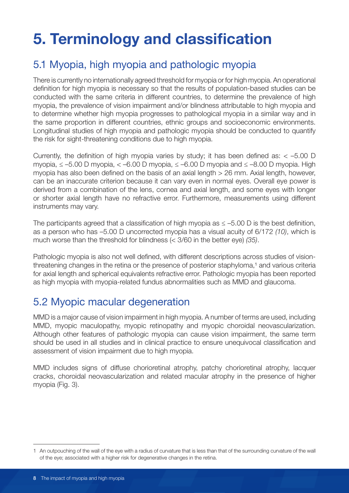## 5. Terminology and classification

### 5.1 Myopia, high myopia and pathologic myopia

There is currently no internationally agreed threshold for myopia or for high myopia. An operational definition for high myopia is necessary so that the results of population-based studies can be conducted with the same criteria in different countries, to determine the prevalence of high myopia, the prevalence of vision impairment and/or blindness attributable to high myopia and to determine whether high myopia progresses to pathological myopia in a similar way and in the same proportion in different countries, ethnic groups and socioeconomic environments. Longitudinal studies of high myopia and pathologic myopia should be conducted to quantify the risk for sight-threatening conditions due to high myopia.

Currently, the definition of high myopia varies by study; it has been defined as:  $< -5.00$  D myopia,  $\le -5.00$  D myopia,  $\lt -6.00$  D myopia,  $\le -6.00$  D myopia and  $\le -8.00$  D myopia. High myopia has also been defined on the basis of an axial length > 26 mm. Axial length, however, can be an inaccurate criterion because it can vary even in normal eyes. Overall eye power is derived from a combination of the lens, cornea and axial length, and some eyes with longer or shorter axial length have no refractive error. Furthermore, measurements using different instruments may vary.

The participants agreed that a classification of high myopia as  $\leq -5.00$  D is the best definition, as a person who has –5.00 D uncorrected myopia has a visual acuity of 6/172 *(10)*, which is much worse than the threshold for blindness (< 3/60 in the better eye) *(35)*.

Pathologic myopia is also not well defined, with different descriptions across studies of visionthreatening changes in the retina or the presence of posterior staphyloma,<sup>1</sup> and various criteria for axial length and spherical equivalents refractive error. Pathologic myopia has been reported as high myopia with myopia-related fundus abnormalities such as MMD and glaucoma.

### 5.2 Myopic macular degeneration

MMD is a major cause of vision impairment in high myopia. A number of terms are used, including MMD, myopic maculopathy, myopic retinopathy and myopic choroidal neovascularization. Although other features of pathologic myopia can cause vision impairment, the same term should be used in all studies and in clinical practice to ensure unequivocal classification and assessment of vision impairment due to high myopia.

MMD includes signs of diffuse chorioretinal atrophy, patchy chorioretinal atrophy, lacquer cracks, choroidal neovascularization and related macular atrophy in the presence of higher myopia (Fig. 3).

<sup>1</sup> An outpouching of the wall of the eye with a radius of curvature that is less than that of the surrounding curvature of the wall of the eye; associated with a higher risk for degenerative changes in the retina.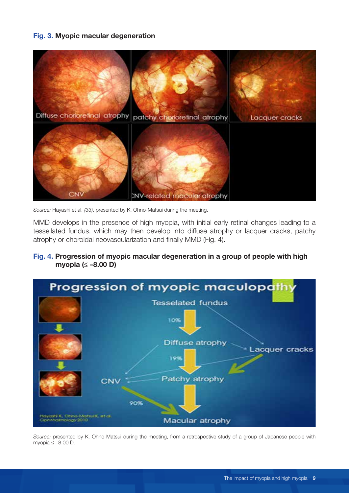#### Fig. 3. Myopic macular degeneration



*Source:* Hayashi et al. *(33)*, presented by K. Ohno-Matsui during the meeting.

source: Hayashi et al. (33), presented by K. Onno-Matsul during the meeting.<br>MMD develops in the presence of high myopia, with initial early retinal changes leading to a<br>teasellated fundus, whish may then dovelop inte diff atrophy or choroidal neovascularization and finally MMD (Fig. 4). tessellated fundus, which may then develop into diffuse atrophy or lacquer cracks, patchy

### *Report of the Joint World Health Organization–Brien Holden*  myopia (≤ –8.00 D) Fig. 4. Progression of myopic macular degeneration in a group of people with high



*Source:* presented by K. Ohno-Matsui during the meeting, from a retrospective study of a group of Japanese people with myopia  $\leq -8.00$  D.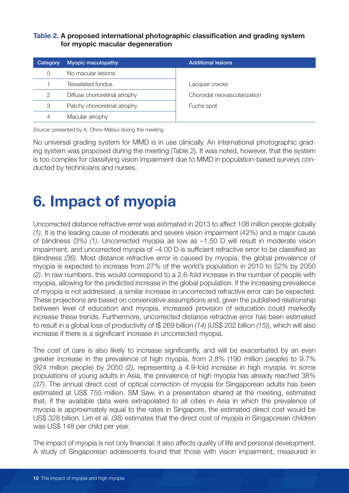#### Table 2. A proposed international photographic classification and grading system for myopic macular degeneration

| Category | <b>Myopic maculopathy</b>     | <b>Additional lesions</b>    |
|----------|-------------------------------|------------------------------|
| 0        | No macular lesions            |                              |
|          | Tesselated fundus             | Lacquer cracks               |
| 2        | Diffuse chorioretinal atrophy | Choroidal neovascularization |
| 3        | Patchy chorioretinal atrophy  | Fuchs spot                   |
| 4        | Macular atrophy               |                              |

*Source:* presented by K. Ohno-Matsui during the meeting.

No universal grading system for MMD is in use clinically. An international photographic grading system was proposed during the meeting (Table 2). It was noted, however, that the system is too complex for classifying vision impairment due to MMD in population-based surveys conducted by technicians and nurses.

### 6. Impact of myopia

Uncorrected distance refractive error was estimated in 2013 to affect 108 million people globally *(1)*. It is the leading cause of moderate and severe vision impairment (42%) and a major cause of blindness (3%) *(1)*. Uncorrected myopia as low as –1.50 D will result in moderate vision impairment, and uncorrected myopia of –4.00 D is sufficient refractive error to be classified as blindness *(36)*. Most distance refractive error is caused by myopia; the global prevalence of myopia is expected to increase from 27% of the world's population in 2010 to 52% by 2050 *(2)*. In raw numbers, this would correspond to a 2.6-fold increase in the number of people with myopia, allowing for the predicted increase in the global population. If the increasing prevalence of myopia is not addressed, a similar increase in uncorrected refractive error can be expected. These projections are based on conservative assumptions and, given the published relationship between level of education and myopia, increased provision of education could markedly increase these trends. Furthermore, uncorrected distance refractive error has been estimated to result in a global loss of productivity of I\$ 269 billion *(14)* (US\$ 202 billion *(15)*), which will also increase if there is a significant increase in uncorrected myopia.

The cost of care is also likely to increase significantly, and will be exacerbated by an even greater increase in the prevalence of high myopia, from 2.8% (190 million people) to 9.7% (924 million people) by 2050 *(2)*, representing a 4.9-fold increase in high myopia. In some populations of young adults in Asia, the prevalence of high myopia has already reached 38% *(37)*. The annual direct cost of optical correction of myopia for Singaporean adults has been estimated at US\$ 755 million. SM Saw, in a presentation shared at the meeting, estimated that, if the available data were extrapolated to all cities in Asia in which the prevalence of myopia is approximately equal to the rates in Singapore, the estimated direct cost would be US\$ 328 billion. Lim et al. *(38)* estimates that the direct cost of myopia in Singaporean children was US\$ 148 per child per year.

The impact of myopia is not only financial; it also affects quality of life and personal development. A study of Singaporean adolescents found that those with vision impairment, measured in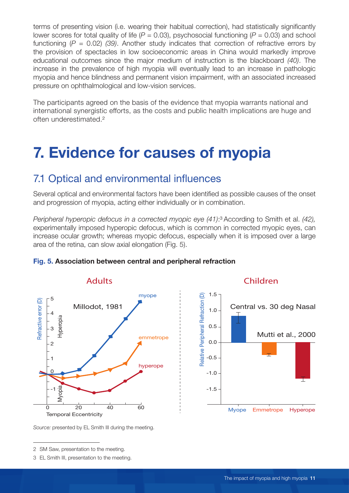terms of presenting vision (i.e. wearing their habitual correction), had statistically significantly lower scores for total quality of life ( $P = 0.03$ ), psychosocial functioning ( $P = 0.03$ ) and school functioning  $(P = 0.02)$  (39). Another study indicates that correction of refractive errors by the provision of spectacles in low socioeconomic areas in China would markedly improve educational outcomes since the major medium of instruction is the blackboard *(40)*. The increase in the prevalence of high myopia will eventually lead to an increase in pathologic myopia and hence blindness and permanent vision impairment, with an associated increased pressure on ophthalmological and low-vision services.

The participants agreed on the basis of the evidence that myopia warrants national and international synergistic efforts, as the costs and public health implications are huge and often underestimated.2

### 7. Evidence for causes of myopia

### 7.1 Optical and environmental influences

Several optical and environmental factors have been identified as possible causes of th<br>and progression of myopia, acting either individually or in combination. Several optical and environmental factors have been identified as possible causes of the onset and progression of myopia, acting either individually or in combination.

.<br>Peripheral hyperopic defocus in a corrected myopic eye (41):<sup>3</sup> According to Smith et al.<br>experimentally imposed hyperopic defocus, which is common in corrected myopic eyes increase ocular growth; whereas myopic defocus, especially when it is imposed over a large<br>area of the retina, can slow axial elongation (Fig. 5). *Peripheral hyperopic defocus in a corrected myopic eye (41)*:3 According to Smith et al. *(42),*  experimentally imposed hyperopic defocus, which is common in corrected myopic eyes, can area of the retina, can slow axial elongation (Fig. 5).



#### *Report of the Joint World Health Organization–Brien Holden*  Fig. 5. Association between central and peripheral refraction



*Source:* presented by EL Smith III during the meeting.

2 SM Saw, presentation to the meeting.

<sup>3</sup> EL Smith III, presentation to the meeting.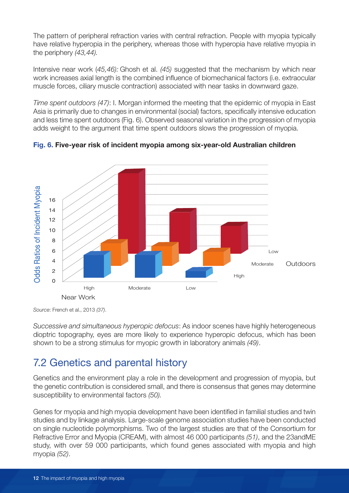The pattern of peripheral refraction varies with central refraction. People with myopia typically have relative hyperopia in the periphery, whereas those with hyperopia have relative myopia in the periphery *(43,44).*

Intensive near work (*45,46):* Ghosh et al. *(45)* suggested that the mechanism by which near work increases axial length is the combined influence of biomechanical factors (i.e. extraocular muscle forces, ciliary muscle contraction) associated with near tasks in downward gaze.

*Time spent outdoors (47)*: I. Morgan informed the meeting that the epidemic of myopia in East Asia is primarily due to changes in environmental (social) factors, specifically intensive education and less time spent outdoors (Fig. 6). Observed seasonal variation in the progression of myopia adds weight to the argument that time spent outdoors slows the progression of myopia.



Fig. 6. Five-year risk of incident myopia among six-year-old Australian children

*Source*: French et al., 2013 *(37)*.

*Successive and simultaneous hyperopic defocus*: As indoor scenes have highly heterogeneous dioptric topography, eyes are more likely to experience hyperopic defocus, which has been shown to be a strong stimulus for myopic growth in laboratory animals *(49)*.

### 7.2 Genetics and parental history

Genetics and the environment play a role in the development and progression of myopia, but the genetic contribution is considered small, and there is consensus that genes may determine susceptibility to environmental factors *(50).*

Refractive Error and Myopia (CREAM), with almost 46 000 participants (51), and the 23andME Genes for myopia and high myopia development have been identified in familial studies and twin studies and by linkage analysis. Large-scale genome association studies have been conducted on single nucleotide polymorphisms. Two of the largest studies are that of the Consortium for study, with over 59 000 participants, which found genes associated with myopia and high myopia *(52)*.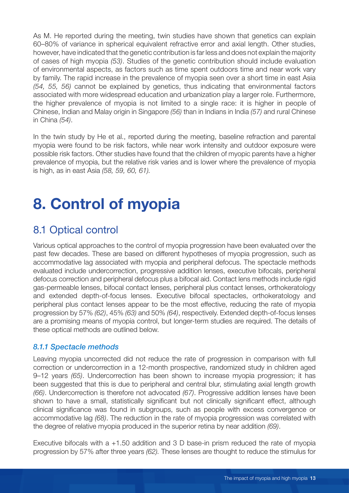As M. He reported during the meeting, twin studies have shown that genetics can explain 60–80% of variance in spherical equivalent refractive error and axial length. Other studies, however, have indicated that the genetic contribution is far less and does not explain the majority of cases of high myopia *(53)*. Studies of the genetic contribution should include evaluation of environmental aspects, as factors such as time spent outdoors time and near work vary by family. The rapid increase in the prevalence of myopia seen over a short time in east Asia *(54, 55, 56)* cannot be explained by genetics, thus indicating that environmental factors associated with more widespread education and urbanization play a larger role. Furthermore, the higher prevalence of myopia is not limited to a single race: it is higher in people of Chinese, Indian and Malay origin in Singapore *(56)* than in Indians in India *(57)* and rural Chinese in China *(54)*.

In the twin study by He et al., reported during the meeting, baseline refraction and parental myopia were found to be risk factors, while near work intensity and outdoor exposure were possible risk factors. Other studies have found that the children of myopic parents have a higher prevalence of myopia, but the relative risk varies and is lower where the prevalence of myopia is high, as in east Asia *(58, 59, 60, 61).*

### **IMPACT OF INCREASING** Prevalence of the straight processes of the straight straight and the straight straight straight straight straight straight straight straight straight straight straight straight straight straight straight straight straight 8. Control of myopia

### 8.1 Optical control

*Report of the Joint World Health Organization–Brien Holden*  evaluated include undercorrection, progressive addition lenses, executive bifocals, peripheral *Vision Institute Global Scientific Meeting on Myopia* defocus correction and peripheral defocus plus a bifocal aid. Contact lens methods include rigid Various optical approaches to the control of myopia progression has<br>the Myopia progression has the mass of myopia progression has Various optical approaches to the control of myopia progression have been evaluated over the past few decades. These are based on different hypotheses of myopia progression, such as accommodative lag associated with myopia and peripheral defocus. The spectacle methods gas-permeable lenses, bifocal contact lenses, peripheral plus contact lenses, orthokeratology and extended depth-of-focus lenses. Executive bifocal spectacles, orthokeratology and peripheral plus contact lenses appear to be the most effective, reducing the rate of myopia progression by 57% *(62)*, 45% *(63)* and 50% *(64)*, respectively. Extended depth-of-focus lenses are a promising means of myopia control, but longer-term studies are required. The details of these optical methods are outlined below.

#### *8.1.1 Spectacle methods*

Leaving myopia uncorrected did not reduce the rate of progression in comparison with full correction or undercorrection in a 12-month prospective, randomized study in children aged 9–12 years *(65)*. Undercorrection has been shown to increase myopia progression; it has been suggested that this is due to peripheral and central blur, stimulating axial length growth *(66)*. Undercorrection is therefore not advocated *(67)*. Progressive addition lenses have been shown to have a small, statistically significant but not clinically significant effect, although clinical significance was found in subgroups, such as people with excess convergence or accommodative lag *(68)*. The reduction in the rate of myopia progression was correlated with the degree of relative myopia produced in the superior retina by near addition *(69)*.

Executive bifocals with a +1.50 addition and 3 D base-in prism reduced the rate of myopia progression by 57% after three years *(62).* These lenses are thought to reduce the stimulus for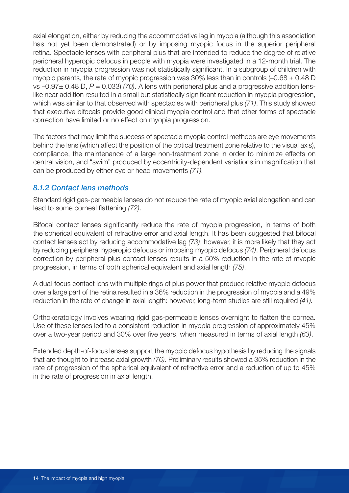axial elongation, either by reducing the accommodative lag in myopia (although this association has not yet been demonstrated) or by imposing myopic focus in the superior peripheral retina. Spectacle lenses with peripheral plus that are intended to reduce the degree of relative peripheral hyperopic defocus in people with myopia were investigated in a 12-month trial. The reduction in myopia progression was not statistically significant. In a subgroup of children with myopic parents, the rate of myopic progression was 30% less than in controls  $(-0.68 \pm 0.48 \text{ D})$ vs –0.97± 0.48 D, *P* = 0.033) *(70)*. A lens with peripheral plus and a progressive addition lenslike near addition resulted in a small but statistically significant reduction in myopia progression, which was similar to that observed with spectacles with peripheral plus *(71)*. This study showed that executive bifocals provide good clinical myopia control and that other forms of spectacle correction have limited or no effect on myopia progression.

The factors that may limit the success of spectacle myopia control methods are eye movements behind the lens (which affect the position of the optical treatment zone relative to the visual axis), compliance, the maintenance of a large non-treatment zone in order to minimize effects on central vision, and "swim" produced by eccentricity-dependent variations in magnification that can be produced by either eye or head movements *(71).*

### *8.1.2 Contact lens methods*

Standard rigid gas-permeable lenses do not reduce the rate of myopic axial elongation and can lead to some corneal flattening *(72)*.

Bifocal contact lenses significantly reduce the rate of myopia progression, in terms of both the spherical equivalent of refractive error and axial length. It has been suggested that bifocal contact lenses act by reducing accommodative lag *(73)*; however, it is more likely that they act by reducing peripheral hyperopic defocus or imposing myopic defocus *(74)*. Peripheral defocus correction by peripheral-plus contact lenses results in a 50% reduction in the rate of myopic progression, in terms of both spherical equivalent and axial length *(75)*.

A dual-focus contact lens with multiple rings of plus power that produce relative myopic defocus over a large part of the retina resulted in a 36% reduction in the progression of myopia and a 49% reduction in the rate of change in axial length: however, long-term studies are still required *(41).*

Orthokeratology involves wearing rigid gas-permeable lenses overnight to flatten the cornea. Use of these lenses led to a consistent reduction in myopia progression of approximately 45% over a two-year period and 30% over five years, when measured in terms of axial length *(63)*.

Extended depth-of-focus lenses support the myopic defocus hypothesis by reducing the signals that are thought to increase axial growth *(76)*. Preliminary results showed a 35% reduction in the rate of progression of the spherical equivalent of refractive error and a reduction of up to 45% in the rate of progression in axial length.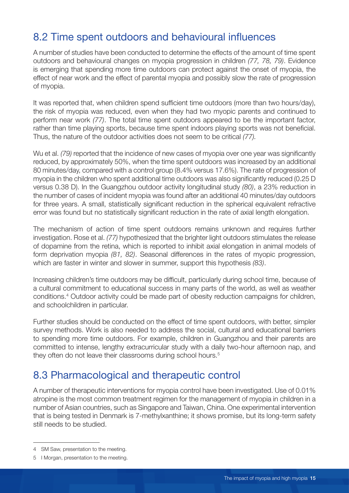### 8.2 Time spent outdoors and behavioural influences

A number of studies have been conducted to determine the effects of the amount of time spent outdoors and behavioural changes on myopia progression in children *(77, 78, 79)*. Evidence is emerging that spending more time outdoors can protect against the onset of myopia, the effect of near work and the effect of parental myopia and possibly slow the rate of progression of myopia.

It was reported that, when children spend sufficient time outdoors (more than two hours/day), the risk of myopia was reduced, even when they had two myopic parents and continued to perform near work *(77)*. The total time spent outdoors appeared to be the important factor, rather than time playing sports, because time spent indoors playing sports was not beneficial. Thus, the nature of the outdoor activities does not seem to be critical *(77).*

versus 0.38 D). In the Guangzhou outdoor activity longitudinal study (80), a 23% redu<br>the number of cases of incident myopia was found after an additional 40 minutes/day ou<br>for three vears. A small, statistically significa error was found but no statistically significant reduction in the rate of axial length elongation.<br>The mechanism of action of time spent outdoors remains unknown and requires furth Wu et al. *(79)* reported that the incidence of new cases of myopia over one year was significantly reduced, by approximately 50%, when the time spent outdoors was increased by an additional 80 minutes/day, compared with a control group (8.4% versus 17.6%). The rate of progression of myopia in the children who spent additional time outdoors was also significantly reduced (0.25 D versus 0.38 D). In the Guangzhou outdoor activity longitudinal study *(80)*, a 23% reduction in the number of cases of incident myopia was found after an additional 40 minutes/day outdoors for three years. A small, statistically significant reduction in the spherical equivalent refractive

which are faster in winter and slower in summer, support this hypothesis *(83)*. investigation. Rose et al. (77) hypothesized that the brighter light oute<br>of dopamine from the retina, which is reported to inhibit axial elor<br>form deprivation myopia (81, 82). Seasonal differences in the rat The mechanism of action of time spent outdoors remains unknown and requires further investigation. Rose et al. *(77)* hypothesized that the brighter light outdoors stimulates the release of dopamine from the retina, which is reported to inhibit axial elongation in animal models of form deprivation myopia *(81, 82)*. Seasonal differences in the rates of myopic progression,

*Vision Institute Global Scientific Meeting on Myopia* Increasing children's time outdoors may be difficult, particularly during school time, because of a cultural commitment to educational success in many parts of the world, as well as weather conditions.4 Outdoor activity could be made part of obesity reduction campaigns for children, and schoolchildren in particular.

Further studies should be conducted on the effect of time spent outdoors, with better, simpler survey methods. Work is also needed to address the social, cultural and educational barriers to spending more time outdoors. For example, children in Guangzhou and their parents are committed to intense, lengthy extracurricular study with a daily two-hour afternoon nap, and they often do not leave their classrooms during school hours.<sup>5</sup>

### 8.3 Pharmacological and therapeutic control

A number of therapeutic interventions for myopia control have been investigated. Use of 0.01% atropine is the most common treatment regimen for the management of myopia in children in a number of Asian countries, such as Singapore and Taiwan, China. One experimental intervention that is being tested in Denmark is 7-methylxanthine; it shows promise, but its long-term safety still needs to be studied.

<sup>4</sup> SM Saw, presentation to the meeting.

<sup>5</sup> I Morgan, presentation to the meeting.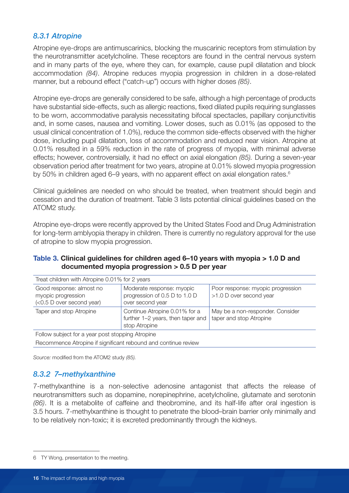#### *8.3.1 Atropine*

Atropine eye-drops are antimuscarinics, blocking the muscarinic receptors from stimulation by the neurotransmitter acetylcholine. These receptors are found in the central nervous system and in many parts of the eye, where they can, for example, cause pupil dilatation and block accommodation *(84)*. Atropine reduces myopia progression in children in a dose-related manner, but a rebound effect ("catch-up") occurs with higher doses *(85)*.

Atropine eye-drops are generally considered to be safe, although a high percentage of products have substantial side-effects, such as allergic reactions, fixed dilated pupils requiring sunglasses to be worn, accommodative paralysis necessitating bifocal spectacles, papillary conjunctivitis and, in some cases, nausea and vomiting. Lower doses, such as 0.01% (as opposed to the usual clinical concentration of 1.0%), reduce the common side-effects observed with the higher dose, including pupil dilatation, loss of accommodation and reduced near vision. Atropine at 0.01% resulted in a 59% reduction in the rate of progress of myopia, with minimal adverse effects; however, controversially, it had no effect on axial elongation *(85).* During a seven-year observation period after treatment for two years, atropine at 0.01% slowed myopia progression by 50% in children aged 6–9 years, with no apparent effect on axial elongation rates.<sup>6</sup>

Clinical guidelines are needed on who should be treated, when treatment should begin and cessation and the duration of treatment. Table 3 lists potential clinical guidelines based on the ATOM2 study.

Atropine eye-drops were recently approved by the United States Food and Drug Administration for long-term amblyopia therapy in children. There is currently no regulatory approval for the use of atropine to slow myopia progression.

| Treat children with Atropine 0.01% for 2 years                              |                                                                                     |                                                              |  |
|-----------------------------------------------------------------------------|-------------------------------------------------------------------------------------|--------------------------------------------------------------|--|
| Good response: almost no<br>myopic progression<br>(<0.5 D over second year) | Moderate response: myopic<br>progression of 0.5 D to 1.0 D<br>over second year      | Poor response: myopic progression<br>>1.0 D over second year |  |
| Taper and stop Atropine                                                     | Continue Atropine 0.01% for a<br>further 1-2 years, then taper and<br>stop Atropine | May be a non-responder. Consider<br>taper and stop Atropine  |  |
| Follow subject for a year post stopping Atropine                            |                                                                                     |                                                              |  |

#### Table 3. Clinical guidelines for children aged 6–10 years with myopia > 1.0 D and documented myopia progression > 0.5 D per year

Recommence Atropine if significant rebound and continue review

*Source:* modified from the ATOM2 study *(85).*

### *8.3.2 7–methylxanthine*

7-methylxanthine is a non-selective adenosine antagonist that affects the release of neurotransmitters such as dopamine, norepinephrine, acetylcholine, glutamate and serotonin *(86)*. It is a metabolite of caffeine and theobromine, and its half-life after oral ingestion is 3.5 hours. 7-methylxanthine is thought to penetrate the blood–brain barrier only minimally and to be relatively non-toxic; it is excreted predominantly through the kidneys.

<sup>6</sup> TY Wong, presentation to the meeting.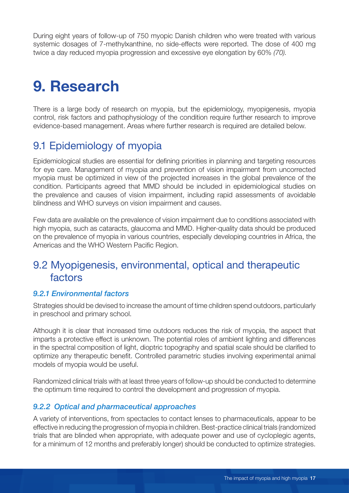During eight years of follow-up of 750 myopic Danish children who were treated with various systemic dosages of 7-methylxanthine, no side-effects were reported. The dose of 400 mg twice a day reduced myopia progression and excessive eye elongation by 60% *(70).*

### 9. Research

There is a large body of research on myopia, but the epidemiology, myopigenesis, myopia control, risk factors and pathophysiology of the condition require further research to improve evidence-based management. Areas where further research is required are detailed below.

### 9.1 Epidemiology of myopia

condition. Participants agreed that MMD should be included in epidemiological stud<br>the prevalence and causes of vision impairment, including rapid assessments of av<br>blindness and WHO surveys on vision impairment and causes Epidemiological studies are essential for defining priorities in planning and targeting resources for eye care. Management of myopia and prevention of vision impairment from uncorrected myopia must be optimized in view of the projected increases in the global prevalence of the condition. Participants agreed that MMD should be included in epidemiological studies on the prevalence and causes of vision impairment, including rapid assessments of avoidable blindness and WHO surveys on vision impairment and causes.

Few data are available on the prevalence of vision impairment due to conditions associated<br>high myopia, such as cataracts, glaucoma and MMD. Higher-quality data should be prod on the prevalence of myopia in various countries, especially developing countries in Africa, the<br>Americas and the WHO Western Pacific Region. Few data are available on the prevalence of vision impairment due to conditions associated with high myopia, such as cataracts, glaucoma and MMD. Higher-quality data should be produced Americas and the WHO Western Pacific Region.

### 9.2 Myopigenesis, environmental, optical and therapeutic *Vision Institute Global Scientific Meeting on Myopia* factors

### *9.2.1 Environmental factors*

Strategies should be devised to increase the amount of time children spend outdoors, particularly in preschool and primary school.

Although it is clear that increased time outdoors reduces the risk of myopia, the aspect that imparts a protective effect is unknown. The potential roles of ambient lighting and differences in the spectral composition of light, dioptric topography and spatial scale should be clarified to optimize any therapeutic benefit. Controlled parametric studies involving experimental animal models of myopia would be useful.

Randomized clinical trials with at least three years of follow-up should be conducted to determine the optimum time required to control the development and progression of myopia.

### *9.2.2 Optical and pharmaceutical approaches*

A variety of interventions, from spectacles to contact lenses to pharmaceuticals, appear to be effective in reducing the progression of myopia in children. Best-practice clinical trials (randomized trials that are blinded when appropriate, with adequate power and use of cycloplegic agents, for a minimum of 12 months and preferably longer) should be conducted to optimize strategies.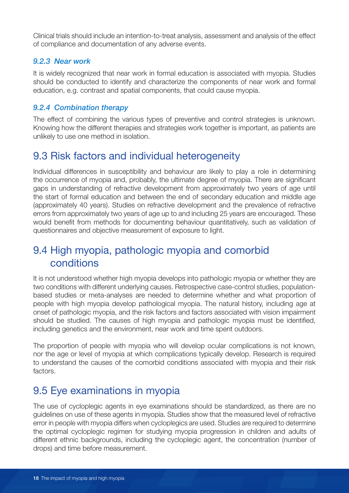Clinical trials should include an intention-to-treat analysis, assessment and analysis of the effect of compliance and documentation of any adverse events.

### *9.2.3 Near work*

It is widely recognized that near work in formal education is associated with myopia. Studies should be conducted to identify and characterize the components of near work and formal education, e.g. contrast and spatial components, that could cause myopia.

### *9.2.4 Combination therapy*

The effect of combining the various types of preventive and control strategies is unknown. Knowing how the different therapies and strategies work together is important, as patients are unlikely to use one method in isolation.

### 9.3 Risk factors and individual heterogeneity

Individual differences in susceptibility and behaviour are likely to play a role in determining the occurrence of myopia and, probably, the ultimate degree of myopia. There are significant gaps in understanding of refractive development from approximately two years of age until the start of formal education and between the end of secondary education and middle age (approximately 40 years). Studies on refractive development and the prevalence of refractive errors from approximately two years of age up to and including 25 years are encouraged. These would benefit from methods for documenting behaviour quantitatively, such as validation of questionnaires and objective measurement of exposure to light.

### 9.4 High myopia, pathologic myopia and comorbid conditions

It is not understood whether high myopia develops into pathologic myopia or whether they are two conditions with different underlying causes. Retrospective case-control studies, populationbased studies or meta-analyses are needed to determine whether and what proportion of people with high myopia develop pathological myopia. The natural history, including age at onset of pathologic myopia, and the risk factors and factors associated with vision impairment should be studied. The causes of high myopia and pathologic myopia must be identified, including genetics and the environment, near work and time spent outdoors.

The proportion of people with myopia who will develop ocular complications is not known, nor the age or level of myopia at which complications typically develop. Research is required to understand the causes of the comorbid conditions associated with myopia and their risk factors.

### 9.5 Eye examinations in myopia

different ethnic backgrounds, including the cycloplegic agent, the concentration (number of The use of cycloplegic agents in eye examinations should be standardized, as there are no guidelines on use of these agents in myopia. Studies show that the measured level of refractive error in people with myopia differs when cycloplegics are used. Studies are required to determine the optimal cycloplegic regimen for studying myopia progression in children and adults of drops) and time before measurement.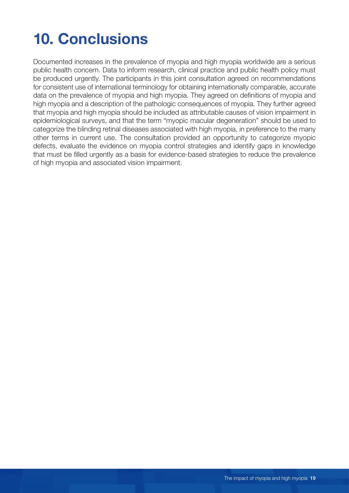### 10. Conclusions

Documented increases in the prevalence of myopia and high myopia worldwide are a serious public health concern. Data to inform research, clinical practice and public health policy must be produced urgently. The participants in this joint consultation agreed on recommendations for consistent use of international terminology for obtaining internationally comparable, accurate data on the prevalence of myopia and high myopia. They agreed on definitions of myopia and high myopia and a description of the pathologic consequences of myopia. They further agreed that myopia and high myopia should be included as attributable causes of vision impairment in epidemiological surveys, and that the term "myopic macular degeneration" should be used to categorize the blinding retinal diseases associated with high myopia, in preference to the many other terms in current use. The consultation provided an opportunity to categorize myopic defects, evaluate the evidence on myopia control strategies and identify gaps in knowledge that must be filled urgently as a basis for evidence-based strategies to reduce the prevalence of high myopia and associated vision impairment.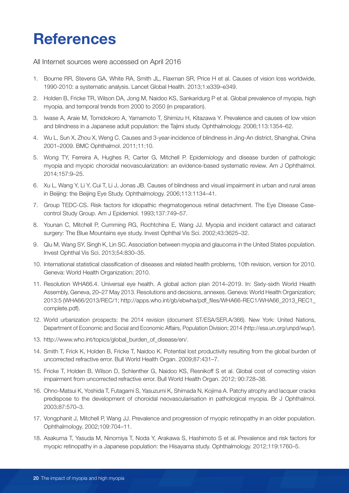### References

All Internet sources were accessed on April 2016

- 1. Bourne RR, Stevens GA, White RA, Smith JL, Flaxman SR, Price H et al. Causes of vision loss worldwide, 1990-2010: a systematic analysis. Lancet Global Health. 2013;1:e339–e349.
- 2. Holden B, Fricke TR, Wilson DA, Jong M, Naidoo KS, Sankaridurg P et al. Global prevalence of myopia, high myopia, and temporal trends from 2000 to 2050 (in preparation).
- 3. Iwase A, Araie M, Tomidokoro A, Yamamoto T, Shimizu H, Kitazawa Y. Prevalence and causes of low vision and blindness in a Japanese adult population: the Tajimi study. Ophthalmology. 2006;113:1354–62.
- 4. Wu L, Sun X, Zhou X, Weng C. Causes and 3-year-incidence of blindness in Jing-An district, Shanghai, China 2001–2009. BMC Ophthalmol. 2011;11:10.
- 5. Wong TY, Ferreira A, Hughes R, Carter G, Mitchell P. Epidemiology and disease burden of pathologic myopia and myopic choroidal neovascularization: an evidence-based systematic review. Am J Ophthalmol. 2014;157:9–25.
- 6. Xu L, Wang Y, Li Y, Cui T, Li J, Jonas JB. Causes of blindness and visual impairment in urban and rural areas in Beijing: the Beijing Eye Study. Ophthalmology. 2006;113:1134–41.
- 7. Group TEDC-CS. Risk factors for idiopathic rhegmatogenous retinal detachment. The Eye Disease Casecontrol Study Group. Am J Epidemiol. 1993;137:749–57.
- 8. Younan C, Mitchell P, Cumming RG, Rochtchina E, Wang JJ. Myopia and incident cataract and cataract surgery: The Blue Mountains eye study. Invest Ophthal Vis Sci. 2002;43:3625–32.
- 9. Qiu M, Wang SY, Singh K, Lin SC. Association between myopia and glaucoma in the United States population. Invest Ophthal Vis Sci. 2013;54:830–35.
- 10. International statistical classification of diseases and related health problems, 10th revision, version for 2010. Geneva: World Health Organization; 2010.
- 11. Resolution WHA66.4. Universal eye health. A global action plan 2014–2019. In: Sixty-sixth World Health Assembly, Geneva, 20–27 May 2013. Resolutions and decisions, annexes. Geneva: World Health Organization; 2013:5 (WHA66/2013/REC/1; http://apps.who.int/gb/ebwha/pdf\_files/WHA66-REC1/WHA66\_2013\_REC1\_ complete.pdf).
- 12. World urbanization prospects: the 2014 revision (document ST/ESA/SER.A/366). New York: United Nations, Department of Economic and Social and Economic Affairs, Population Division; 2014 (http://esa.un.org/unpd/wup/).
- 13. http://www.who.int/topics/global\_burden\_of\_disease/en/.
- 14. Smith T, Frick K, Holden B, Fricke T, Naidoo K. Potential lost productivity resulting from the global burden of uncorrected refractive error. Bull World Health Organ. 2009;87:431–7.
- 15. Fricke T, Holden B, Wilson D, Schlenther G, Naidoo KS, Resnikoff S et al. Global cost of correcting vision impairment from uncorrected refractive error. Bull World Health Organ. 2012; 90:728–38.
- 16. Ohno-Matsui K, Yoshida T, Futagami S, Yasuzumi K, Shimada N, Kojima A. Patchy atrophy and lacquer cracks predispose to the development of choroidal neovascularisation in pathological myopia. Br J Ophthalmol. 2003;87:570–3.
- 17. Vongphanit J, Mitchell P, Wang JJ. Prevalence and progression of myopic retinopathy in an older population. Ophthalmology. 2002;109:704–11.
- 18. Asakuma T, Yasuda M, Ninomiya T, Noda Y, Arakawa S, Hashimoto S et al. Prevalence and risk factors for myopic retinopathy in a Japanese population: the Hisayama study. Ophthalmology. 2012;119:1760–5.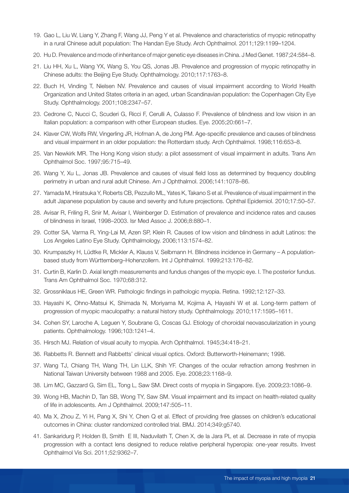- 19. Gao L, Liu W, Liang Y, Zhang F, Wang JJ, Peng Y et al. Prevalence and characteristics of myopic retinopathy in a rural Chinese adult population: The Handan Eye Study. Arch Ophthalmol. 2011;129:1199–1204.
- 20. Hu D. Prevalence and mode of inheritance of major genetic eye diseases in China. J Med Genet. 1987;24:584–8.
- 21. Liu HH, Xu L, Wang YX, Wang S, You QS, Jonas JB. Prevalence and progression of myopic retinopathy in Chinese adults: the Beijing Eye Study. Ophthalmology. 2010;117:1763–8.
- 22. Buch H, Vinding T, Nielsen NV. Prevalence and causes of visual impairment according to World Health Organization and United States criteria in an aged, urban Scandinavian population: the Copenhagen City Eye Study. Ophthalmology. 2001;108:2347–57.
- 23. Cedrone C, Nucci C, Scuderi G, Ricci F, Cerulli A, Culasso F. Prevalence of blindness and low vision in an Italian population: a comparison with other European studies. Eye. 2005;20:661–7.
- 24. Klaver CW, Wolfs RW, Vingerling JR, Hofman A, de Jong PM. Age-specific prevalence and causes of blindness and visual impairment in an older population: the Rotterdam study. Arch Ophthalmol. 1998;116:653–8.
- 25. Van Newkirk MR. The Hong Kong vision study: a pilot assessment of visual impairment in adults. Trans Am Ophthalmol Soc. 1997;95:715–49.
- 26. Wang Y, Xu L, Jonas JB. Prevalence and causes of visual field loss as determined by frequency doubling perimetry in urban and rural adult Chinese. Am J Ophthalmol. 2006;141:1078–86.
- .<br>27. Yamada M, Hiratsuka Y, Roberts CB, Pezzullo ML, Yates K, Takano S et al. Prevalence of visual impairment in the<br>. adult Japanese population by cause and severity and future projections. Ophthal Epidemiol. 2010;17:50– 27. Yamada M, Hiratsuka Y, Roberts CB, Pezzullo ML, Yates K, Takano S et al. Prevalence of visual impairment in the
- 28. Avisar R, Friling R, Snir M, Avisar I, Weinberger D. Estimation of prevalence and incidence rates and causes<br>of blindness in Israel, 1998–2003. Isr Med Assoc J. 2006;8:880–1. of blindness in Israel, 1998–2003. Isr Med Assoc J. 2006;8:880–1.
- 20. Solton Sn, vanna H, High Early, Zennon, Nem H. Saasos on ownested and simultices in data Eatinos. the<br>Los Angeles Latino Eye Study. Ophthalmology. 2006;113:1574–82.<br>30. Krumpaszky H, Lüdtke R, Mickler A, Klauss V, Selb 29. Cotter SA, Varma R, Ying-Lai M, Azen SP, Klein R. Causes of low vision and blindness in adult Latinos: the Los Angeles Latino Eye Study. Ophthalmology. 2006;113:1574–82.
- based study from Württemberg–Hohenzollern. Int J Ophthalmol. 1999;213:176–82.
- *Report of the Joint World Health Organization–Brien Holden*  31. Curtin B, Karlin D. Axial length measurements and fundus changes of the myopic eye. I. The posterior fundus. *Vision Institute Global Scientific Meeting on Myopia* Trans Am Ophthalmol Soc. 1970;68:312.
- 32. Grossniklaus HE, Green WR. Pathologic findings in pathologic myopia. Retina. 1992;12:127–33.
- 33. Hayashi K, Ohno-Matsui K, Shimada N, Moriyama M, Kojima A, Hayashi W et al. Long-term pattern of progression of myopic maculopathy: a natural history study. Ophthalmology. 2010;117:1595–1611.
- 34. Cohen SY, Laroche A, Leguen Y, Soubrane G, Coscas GJ. Etiology of choroidal neovascularization in young patients. Ophthalmology. 1996;103:1241–4.
- 35. Hirsch MJ. Relation of visual acuity to myopia. Arch Ophthalmol. 1945;34:418–21.
- 36. Rabbetts R. Bennett and Rabbetts' clinical visual optics. Oxford: Butterworth-Heinemann; 1998.
- 37. Wang TJ, Chiang TH, Wang TH, Lin LLK, Shih YF. Changes of the ocular refraction among freshmen in National Taiwan University between 1988 and 2005. Eye. 2008;23:1168–9.
- 38. Lim MC, Gazzard G, Sim EL, Tong L, Saw SM. Direct costs of myopia in Singapore. Eye. 2009;23:1086–9.
- 39. Wong HB, Machin D, Tan SB, Wong TY, Saw SM. Visual impairment and its impact on health-related quality of life in adolescents. Am J Ophthalmol. 2009;147:505–11.
- 40. Ma X, Zhou Z, Yi H, Pang X, Shi Y, Chen Q et al. Effect of providing free glasses on children's educational outcomes in China: cluster randomized controlled trial. BMJ. 2014;349:g5740.
- 41. Sankaridurg P, Holden B, Smith E III, Naduvilath T, Chen X, de la Jara PL et al. Decrease in rate of myopia progression with a contact lens designed to reduce relative peripheral hyperopia: one-year results. Invest Ophthalmol Vis Sci. 2011;52:9362–7.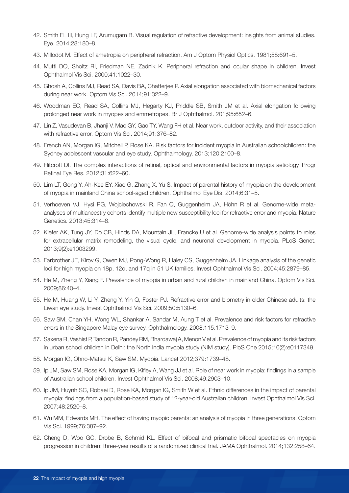- 42. Smith EL III, Hung LF, Arumugam B. Visual regulation of refractive development: insights from animal studies. Eye. 2014;28:180–8.
- 43. Millodot M. Effect of ametropia on peripheral refraction. Am J Optom Physiol Optics. 1981;58:691–5.
- 44. Mutti DO, Sholtz RI, Friedman NE, Zadnik K. Peripheral refraction and ocular shape in children. Invest Ophthalmol Vis Sci. 2000;41:1022–30.
- 45. Ghosh A, Collins MJ, Read SA, Davis BA, Chatterjee P. Axial elongation associated with biomechanical factors during near work. Optom Vis Sci. 2014;91:322–9.
- 46. Woodman EC, Read SA, Collins MJ, Hegarty KJ, Priddle SB, Smith JM et al. Axial elongation following prolonged near work in myopes and emmetropes. Br J Ophthalmol. 201;95:652–6.
- 47. Lin Z, Vasudevan B, Jhanji V, Mao GY, Gao TY, Wang FH et al. Near work, outdoor activity, and their association with refractive error. Optom Vis Sci. 2014;91:376–82.
- 48. French AN, Morgan IG, Mitchell P, Rose KA. Risk factors for incident myopia in Australian schoolchildren: the Sydney adolescent vascular and eye study. Ophthalmology. 2013;120:2100–8.
- 49. Flitcroft DI. The complex interactions of retinal, optical and environmental factors in myopia aetiology. Progr Retinal Eye Res. 2012;31:622–60.
- 50. Lim LT, Gong Y, Ah-Kee EY, Xiao G, Zhang X, Yu S. Impact of parental history of myopia on the development of myopia in mainland China school-aged children. Ophthalmol Eye Dis. 2014;6:31–5.
- 51. Verhoeven VJ, Hysi PG, Wojciechowski R, Fan Q, Guggenheim JA, Höhn R et al. Genome-wide metaanalyses of multiancestry cohorts identify multiple new susceptibility loci for refractive error and myopia. Nature Genetics. 2013;45:314–8.
- 52. Kiefer AK, Tung JY, Do CB, Hinds DA, Mountain JL, Francke U et al. Genome-wide analysis points to roles for extracellular matrix remodeling, the visual cycle, and neuronal development in myopia. PLoS Genet. 2013;9(2):e1003299.
- 53. Farbrother JE, Kirov G, Owen MJ, Pong-Wong R, Haley CS, Guggenheim JA. Linkage analysis of the genetic loci for high myopia on 18p, 12q, and 17q in 51 UK families. Invest Ophthalmol Vis Sci. 2004;45:2879–85.
- 54. He M, Zheng Y, Xiang F. Prevalence of myopia in urban and rural children in mainland China. Optom Vis Sci. 2009;86:40–4.
- 55. He M, Huang W, Li Y, Zheng Y, Yin Q, Foster PJ. Refractive error and biometry in older Chinese adults: the Liwan eye study. Invest Ophthalmol Vis Sci. 2009;50:5130–6.
- 56. Saw SM, Chan YH, Wong WL, Shankar A, Sandar M, Aung T et al. Prevalence and risk factors for refractive errors in the Singapore Malay eye survey. Ophthalmology. 2008;115:1713–9.
- 57. Saxena R, Vashist P, Tandon R, Pandey RM, Bhardawaj A, Menon V et al. Prevalence of myopia and its risk factors in urban school children in Delhi: the North India myopia study (NIM study). PloS One 2015;10(2):e0117349.
- 58. Morgan IG, Ohno-Matsui K, Saw SM. Myopia. Lancet 2012;379:1739–48.
- 59. Ip JM, Saw SM, Rose KA, Morgan IG, Kifley A, Wang JJ et al. Role of near work in myopia: findings in a sample of Australian school children. Invest Ophthalmol Vis Sci. 2008;49:2903–10.
- 60. Ip JM, Huynh SC, Robaei D, Rose KA, Morgan IG, Smith W et al. Ethnic differences in the impact of parental myopia: findings from a population-based study of 12-year-old Australian children. Invest Ophthalmol Vis Sci. 2007;48:2520–8.
- 61. Wu MM, Edwards MH. The effect of having myopic parents: an analysis of myopia in three generations. Optom Vis Sci. 1999;76:387–92.
- 62. Cheng D, Woo GC, Drobe B, Schmid KL. Effect of bifocal and prismatic bifocal spectacles on myopia progression in children: three-year results of a randomized clinical trial. JAMA Ophthalmol. 2014;132:258–64.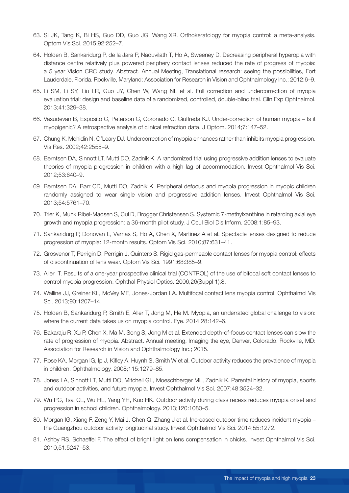- 63. Si JK, Tang K, Bi HS, Guo DD, Guo JG, Wang XR. Orthokeratology for myopia control: a meta-analysis. Optom Vis Sci. 2015;92:252–7.
- 64. Holden B, Sankaridurg P, de la Jara P, Naduvilath T, Ho A, Sweeney D. Decreasing peripheral hyperopia with distance centre relatively plus powered periphery contact lenses reduced the rate of progress of myopia: a 5 year Vision CRC study. Abstract. Annual Meeting, Translational research: seeing the possibilities, Fort Lauderdale, Florida. Rockville, Maryland: Association for Research in Vision and Ophthalmology Inc.; 2012:6–9.
- 65. Li SM, Li SY, Liu LR, Guo JY, Chen W, Wang NL et al. Full correction and undercorrection of myopia evaluation trial: design and baseline data of a randomized, controlled, double-blind trial. Clin Exp Ophthalmol. 2013;41:329–38.
- 66. Vasudevan B, Esposito C, Peterson C, Coronado C, Ciuffreda KJ. Under-correction of human myopia Is it myopigenic? A retrospective analysis of clinical refraction data. J Optom. 2014;7:147–52.
- 67. Chung K, Mohidin N, O'Leary DJ. Undercorrection of myopia enhances rather than inhibits myopia progression. Vis Res. 2002;42:2555–9.
- 68. Berntsen DA, Sinnott LT, Mutti DO, Zadnik K. A randomized trial using progressive addition lenses to evaluate theories of myopia progression in children with a high lag of accommodation. Invest Ophthalmol Vis Sci. 2012;53:640–9.
- 69. Berntsen DA, Barr CD, Mutti DO, Zadnik K. Peripheral defocus and myopia progression in myopic<br>randomly assigned to wear single vision and progressive addition lenses. Invest Ophthalmol<br>2013;54:5761–70. 69. Berntsen DA, Barr CD, Mutti DO, Zadnik K. Peripheral defocus and myopia progression in myopic children randomly assigned to wear single vision and progressive addition lenses. Invest Ophthalmol Vis Sci. 2013;54:5761–70.
- 70. Trier K, Munk Ribel-Madsen S, Cui D, Brogger Christensen S. Systemic 7-methylxanthine in retarding axial eye<br>growth and myopia progression: a 36-month pilot study. J Ocul Biol Dis Inform. 2008;1:85–93. growth and myopia progression: a 36-month pilot study. J Ocul Biol Dis Inform. 2008;1:85–93.
- 71. Sankaridurg P, Donovan L, varnas S, Ho A, Crien X, Martinez A et al. Spec<br>progression of myopia: 12-month results. Optom Vis Sci. 2010;87:631–41.<br>72. Grosvenor T. Perrigin D. Perrigin J. Quintero S. Rigid gas-permeable 71. Sankaridurg P, Donovan L, Varnas S, Ho A, Chen X, Martinez A et al. Spectacle lenses designed to reduce progression of myopia: 12-month results. Optom Vis Sci. 2010;87:631–41.
- 72. Grosvenor T, Perrigin D, Perrigin J, Quintero S. Rigid gas-permeable contact lenses for myopia control: effects of discontinuation of lens wear. Optom Vis Sci. 1991;68:385–9.
- *Report of the Joint World Health Organization–Brien Holden*  73. Aller T. Results of a one-year prospective clinical trial (CONTROL) of the use of bifocal soft contact lenses to *Vision Institute Global Scientific Meeting on Myopia* control myopia progression. Ophthal Physiol Optics. 2006;26(Suppl 1):8.
- 74. Walline JJ, Greiner KL, McVey ME, Jones-Jordan LA. Multifocal contact lens myopia control. Ophthalmol Vis Sci. 2013;90:1207–14.
- 75. Holden B, Sankaridurg P, Smith E, Aller T, Jong M, He M. Myopia, an underrated global challenge to vision: where the current data takes us on myopia control. Eye. 2014;28:142–6.
- 76. Bakaraju R, Xu P, Chen X, Ma M, Song S, Jong M et al. Extended depth-of-focus contact lenses can slow the rate of progression of myopia. Abstract. Annual meeting, Imaging the eye, Denver, Colorado. Rockville, MD: Association for Research in Vision and Ophthalmology Inc.; 2015.
- 77. Rose KA, Morgan IG, Ip J, Kifley A, Huynh S, Smith W et al. Outdoor activity reduces the prevalence of myopia in children. Ophthalmology. 2008;115:1279–85.
- 78. Jones LA, Sinnott LT, Mutti DO, Mitchell GL, Moeschberger ML, Zadnik K. Parental history of myopia, sports and outdoor activities, and future myopia. Invest Ophthalmol Vis Sci. 2007;48:3524–32.
- 79. Wu PC, Tsai CL, Wu HL, Yang YH, Kuo HK. Outdoor activity during class recess reduces myopia onset and progression in school children. Ophthalmology. 2013;120:1080–5.
- 80. Morgan IG, Xiang F, Zeng Y, Mai J, Chen Q, Zhang J et al. Increased outdoor time reduces incident myopia the Guangzhou outdoor activity longitudinal study. Invest Ophthalmol Vis Sci. 2014;55:1272.
- 81. Ashby RS, Schaeffel F. The effect of bright light on lens compensation in chicks. Invest Ophthalmol Vis Sci. 2010;51:5247–53.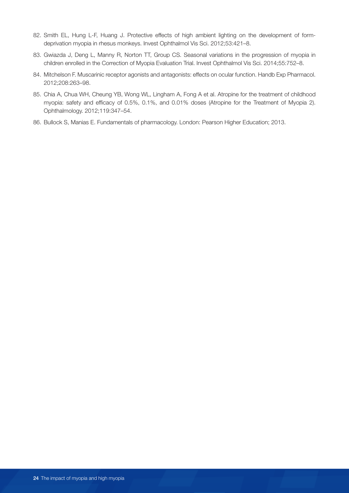- 82. Smith EL, Hung L-F, Huang J. Protective effects of high ambient lighting on the development of formdeprivation myopia in rhesus monkeys. Invest Ophthalmol Vis Sci. 2012;53:421–8.
- 83. Gwiazda J, Deng L, Manny R, Norton TT, Group CS. Seasonal variations in the progression of myopia in children enrolled in the Correction of Myopia Evaluation Trial. Invest Ophthalmol Vis Sci. 2014;55:752–8.
- 84. Mitchelson F. Muscarinic receptor agonists and antagonists: effects on ocular function. Handb Exp Pharmacol. 2012;208:263–98.
- 85. Chia A, Chua WH, Cheung YB, Wong WL, Lingham A, Fong A et al. Atropine for the treatment of childhood myopia: safety and efficacy of 0.5%, 0.1%, and 0.01% doses (Atropine for the Treatment of Myopia 2). Ophthalmology. 2012;119:347–54.
- 86. Bullock S, Manias E. Fundamentals of pharmacology. London: Pearson Higher Education; 2013.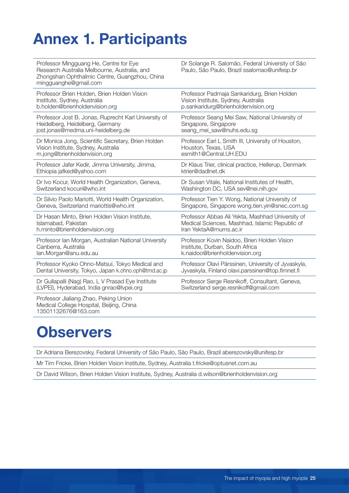## Annex 1. Participants

| Professor Mingguang He, Centre for Eye<br>Research Australia Melbourne, Australia, and<br>Zhongshan Ophthalmic Centre, Guangzhou, China<br>mingguanghe@gmail.com | Dr Solange R. Salomão, Federal University of São<br>Paulo, São Paulo, Brazil ssalomao@unifesp.br |
|------------------------------------------------------------------------------------------------------------------------------------------------------------------|--------------------------------------------------------------------------------------------------|
| Professor Brien Holden, Brien Holden Vision                                                                                                                      | Professor Padmaja Sankaridurg, Brien Holden                                                      |
| Institute, Sydney, Australia                                                                                                                                     | Vision Institute, Sydney, Australia                                                              |
| b.holden@brienholdenvision.org                                                                                                                                   | p.sankaridurg@brienholdenvision.org                                                              |
| Professor Jost B. Jonas, Ruprecht Karl University of                                                                                                             | Professor Seang Mei Saw, National University of                                                  |
| Heidelberg, Heidelberg, Germany                                                                                                                                  | Singapore, Singapore                                                                             |
| jost.jonas@medma.uni-heidelberg.de                                                                                                                               | seang_mei_saw@nuhs.edu.sg                                                                        |
| Dr Monica Jong, Scientific Secretary, Brien Holden                                                                                                               | Professor Earl L Smith III, University of Houston,                                               |
| Vision Institute, Sydney, Australia                                                                                                                              | Houston, Texas, USA                                                                              |
| m.jong@brienholdenvision.org                                                                                                                                     | esmith1@Central.UH.EDU                                                                           |
| Professor Jafer Kedir, Jimma University, Jimma,                                                                                                                  | Dr Klaus Trier, clinical practice, Hellerup, Denmark                                             |
| Ethiopia jafked@yahoo.com                                                                                                                                        | ktrier@dadlnet.dk                                                                                |
| Dr Ivo Kocur, World Health Organization, Geneva,                                                                                                                 | Dr Susan Vitale, National Institutes of Health,                                                  |
| Switzerland kocuri@who.int                                                                                                                                       | Washington DC, USA sev@nei.nih.gov                                                               |
| Dr Silvio Paolo Mariotti, World Health Organization,                                                                                                             | Professor Tien Y. Wong, National University of                                                   |
| Geneva, Switzerland mariottis@who.int                                                                                                                            | Singapore, Singapore wong.tien.yin@snec.com.sg                                                   |
| Dr Hasan Minto, Brien Holden Vision Institute,                                                                                                                   | Professor Abbas Ali Yekta, Mashhad University of                                                 |
| Islamabad, Pakistan                                                                                                                                              | Medical Sciences, Mashhad, Islamic Republic of                                                   |
| h.minto@brienholdenvision.org                                                                                                                                    | Iran YektaA@mums.ac.ir                                                                           |
| Professor Ian Morgan, Australian National University                                                                                                             | Professor Kovin Naidoo, Brien Holden Vision                                                      |
| Canberra, Australia                                                                                                                                              | Institute, Durban, South Africa                                                                  |
| lan.Morgan@anu.edu.au                                                                                                                                            | k.naidoo@brienholdenvision.org                                                                   |
| Professor Kyoko Ohno-Matsui, Tokyo Medical and                                                                                                                   | Professor Olavi Pärssinen, University of Jyvaskyla,                                              |
| Dental University, Tokyo, Japan k.ohno.oph@tmd.ac.jp                                                                                                             | Jyvaskyla, Finland olavi.parssinen@top.fimnet.fi                                                 |
| Dr Gullapalli (Nag) Rao, L V Prasad Eye Institute                                                                                                                | Professor Serge Resnikoff, Consultant, Geneva,                                                   |
| (LVPEI), Hyderabad, India gnrao@lvpei.org                                                                                                                        | Switzerland serge.resnikoff@gmail.com                                                            |
| Professor Jialiang Zhao, Peking Union<br>Medical College Hospital, Beijing, China<br>13501132676@163.com                                                         |                                                                                                  |

### **Observers**

Dr Adriana Berezovsky, Federal University of São Paulo, São Paulo, Brazil aberezovsky@unifesp.br

Mr Tim Fricke, Brien Holden Vision Institute, Sydney, Australia t.fricke@optusnet.com.au

Dr David Wilson, Brien Holden Vision Institute, Sydney, Australia d.wilson@brienholdenvision.org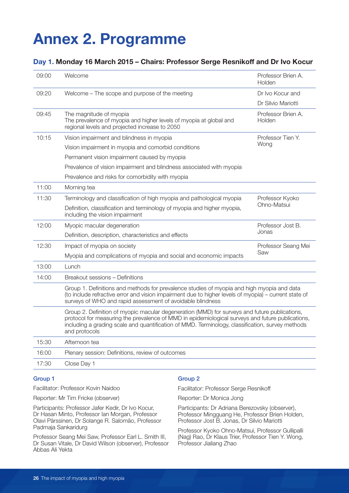### Annex 2. Programme

#### Day 1. Monday 16 March 2015 – Chairs: Professor Serge Resnikoff and Dr Ivo Kocur

|       |                                                                                                                                                                                                                                                                                                                        | Holden                       |
|-------|------------------------------------------------------------------------------------------------------------------------------------------------------------------------------------------------------------------------------------------------------------------------------------------------------------------------|------------------------------|
| 09:20 | Welcome – The scope and purpose of the meeting                                                                                                                                                                                                                                                                         | Dr Ivo Kocur and             |
|       |                                                                                                                                                                                                                                                                                                                        | Dr Silvio Mariotti           |
| 09:45 | The magnitude of myopia<br>The prevalence of myopia and higher levels of myopia at global and<br>regional levels and projected increase to 2050                                                                                                                                                                        | Professor Brien A.<br>Holden |
| 10:15 | Vision impairment and blindness in myopia                                                                                                                                                                                                                                                                              | Professor Tien Y.            |
|       | Vision impairment in myopia and comorbid conditions                                                                                                                                                                                                                                                                    | Wong                         |
|       | Permanent vision impairment caused by myopia                                                                                                                                                                                                                                                                           |                              |
|       | Prevalence of vision impairment and blindness associated with myopia                                                                                                                                                                                                                                                   |                              |
|       | Prevalence and risks for comorbidity with myopia                                                                                                                                                                                                                                                                       |                              |
| 11:00 | Morning tea                                                                                                                                                                                                                                                                                                            |                              |
| 11:30 | Terminology and classification of high myopia and pathological myopia                                                                                                                                                                                                                                                  | Professor Kyoko              |
|       | Definition, classification and terminology of myopia and higher myopia,<br>including the vision impairment                                                                                                                                                                                                             | Ohno-Matsui                  |
| 12:00 | Myopic macular degeneration                                                                                                                                                                                                                                                                                            | Professor Jost B.            |
|       | Definition, description, characteristics and effects                                                                                                                                                                                                                                                                   | Jonas                        |
| 12:30 | Impact of myopia on society                                                                                                                                                                                                                                                                                            | Professor Seang Mei          |
|       | Myopia and complications of myopia and social and economic impacts                                                                                                                                                                                                                                                     | Saw                          |
| 13:00 | Lunch                                                                                                                                                                                                                                                                                                                  |                              |
| 14:00 | Breakout sessions - Definitions                                                                                                                                                                                                                                                                                        |                              |
|       | Group 1. Definitions and methods for prevalence studies of myopia and high myopia and data<br>(to include refractive error and vision impairment due to higher levels of myopia) – current state of<br>surveys of WHO and rapid assessment of avoidable blindness                                                      |                              |
|       | Group 2. Definition of myopic macular degeneration (MMD) for surveys and future publications,<br>protocol for measuring the prevalence of MMD in epidemiological surveys and future publications,<br>including a grading scale and quantification of MMD. Terminology, classification, survey methods<br>and protocols |                              |
| 15:30 | Afternoon tea                                                                                                                                                                                                                                                                                                          |                              |
| 16:00 | Plenary session: Definitions, review of outcomes                                                                                                                                                                                                                                                                       |                              |
| 17:30 | Close Day 1                                                                                                                                                                                                                                                                                                            |                              |

#### Group 1

Facilitator: Professor Kovin Naidoo

Reporter: Mr Tim Fricke (observer)

Participants: Professor Jafer Kedir, Dr Ivo Kocur, Dr Hasan Minto, Professor Ian Morgan, Professor Olavi Pärssinen, Dr Solange R. Salomão, Professor Padmaja Sankaridurg

Professor Seang Mei Saw, Professor Earl L. Smith III, Dr Susan Vitale, Dr David Wilson (observer), Professor Abbas Ali Yekta

#### Group 2

Facilitator: Professor Serge Resnikoff

Reporter: Dr Monica Jong

Participants: Dr Adriana Berezovsky (observer), Professor Mingguang He, Professor Brien Holden, Professor Jost B. Jonas, Dr Silvio Mariotti

Professor Kyoko Ohno-Matsui, Professor Gullipalli (Nag) Rao, Dr Klaus Trier, Professor Tien Y. Wong, Professor Jialiang Zhao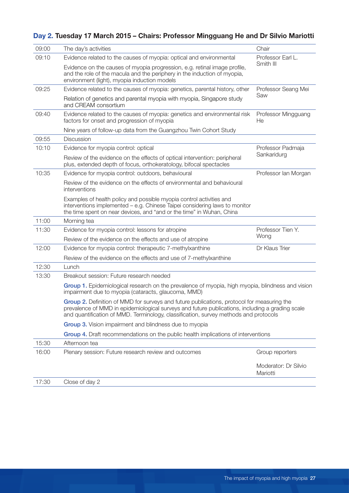### Day 2. Tuesday 17 March 2015 – Chairs: Professor Mingguang He and Dr Silvio Mariotti

| 09:00 | The day's activities                                                                                                                                                                                                                                                                  | Chair                            |
|-------|---------------------------------------------------------------------------------------------------------------------------------------------------------------------------------------------------------------------------------------------------------------------------------------|----------------------------------|
| 09:10 | Evidence related to the causes of myopia: optical and environmental                                                                                                                                                                                                                   | Professor Earl L.                |
|       | Evidence on the causes of myopia progression, e.g. retinal image profile,<br>and the role of the macula and the periphery in the induction of myopia,<br>environment (light), myopia induction models                                                                                 | Smith III                        |
| 09:25 | Evidence related to the causes of myopia: genetics, parental history, other                                                                                                                                                                                                           | Professor Seang Mei              |
|       | Relation of genetics and parental myopia with myopia, Singapore study<br>and CREAM consortium                                                                                                                                                                                         | Saw                              |
| 09:40 | Evidence related to the causes of myopia: genetics and environmental risk<br>factors for onset and progression of myopia                                                                                                                                                              | Professor Mingguang<br>He        |
|       | Nine years of follow-up data from the Guangzhou Twin Cohort Study                                                                                                                                                                                                                     |                                  |
| 09:55 | Discussion                                                                                                                                                                                                                                                                            |                                  |
| 10:10 | Evidence for myopia control: optical                                                                                                                                                                                                                                                  | Professor Padmaja                |
|       | Review of the evidence on the effects of optical intervention: peripheral<br>plus, extended depth of focus, orthokeratology, bifocal spectacles                                                                                                                                       | Sankaridurg                      |
| 10:35 | Evidence for myopia control: outdoors, behavioural                                                                                                                                                                                                                                    | Professor Ian Morgan             |
|       | Review of the evidence on the effects of environmental and behavioural<br>interventions                                                                                                                                                                                               |                                  |
|       | Examples of health policy and possible myopia control activities and<br>interventions implemented - e.g. Chinese Taipei considering laws to monitor<br>the time spent on near devices, and "and or the time" in Wuhan, China                                                          |                                  |
| 11:00 | Morning tea                                                                                                                                                                                                                                                                           |                                  |
| 11:30 | Evidence for myopia control: lessons for atropine                                                                                                                                                                                                                                     | Professor Tien Y.                |
|       | Review of the evidence on the effects and use of atropine                                                                                                                                                                                                                             | Wong                             |
| 12:00 | Evidence for myopia control: therapeutic 7-methylxanthine                                                                                                                                                                                                                             | Dr Klaus Trier                   |
|       | Review of the evidence on the effects and use of 7-methylxanthine                                                                                                                                                                                                                     |                                  |
| 12:30 | Lunch                                                                                                                                                                                                                                                                                 |                                  |
| 13:30 | Breakout session: Future research needed                                                                                                                                                                                                                                              |                                  |
|       | Group 1. Epidemiological research on the prevalence of myopia, high myopia, blindness and vision<br>impairment due to myopia (cataracts, glaucoma, MMD)                                                                                                                               |                                  |
|       | Group 2. Definition of MMD for surveys and future publications, protocol for measuring the<br>prevalence of MMD in epidemiological surveys and future publications, including a grading scale<br>and quantification of MMD. Terminology, classification, survey methods and protocols |                                  |
|       | <b>Group 3.</b> Vision impairment and blindness due to myopia                                                                                                                                                                                                                         |                                  |
|       | Group 4. Draft recommendations on the public health implications of interventions                                                                                                                                                                                                     |                                  |
| 15:30 | Afternoon tea                                                                                                                                                                                                                                                                         |                                  |
| 16:00 | Plenary session: Future research review and outcomes                                                                                                                                                                                                                                  | Group reporters                  |
|       |                                                                                                                                                                                                                                                                                       | Moderator: Dr Silvio<br>Mariotti |
| 17:30 | Close of day 2                                                                                                                                                                                                                                                                        |                                  |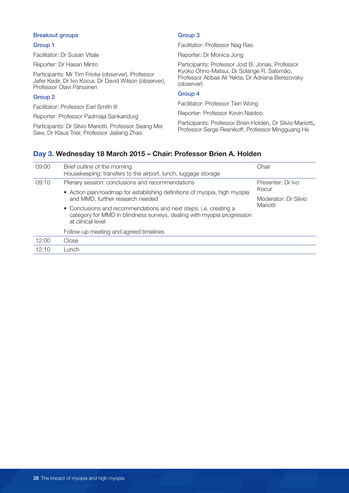| <b>Breakout groups</b>                                                                                                                   | Group 3                                                                                                        |
|------------------------------------------------------------------------------------------------------------------------------------------|----------------------------------------------------------------------------------------------------------------|
| Group 1                                                                                                                                  | Facilitator: Professor Nag Rao                                                                                 |
| Facilitator: Dr Susan Vitale                                                                                                             | Reporter: Dr Monica Jong                                                                                       |
| Reporter: Dr Hasan Minto                                                                                                                 | Participants: Professor Jost B. Jonas, Professor                                                               |
| Participants: Mr Tim Fricke (observer), Professor<br>Jafer Kedir, Dr Ivo Kocur, Dr David Wilson (observer),<br>Professor Olavi Pärssinen | Kyoko Ohno-Matsui, Dr Solange R. Salomão,<br>Professor Abbas Ali Yekta, Dr Adriana Berezovsky<br>(observer)    |
| Group 2                                                                                                                                  | Group 4                                                                                                        |
| Facilitator: Professor Earl Smith III                                                                                                    | Facilitator: Professor Tien Wong                                                                               |
| Reporter: Professor Padmaja Sankaridurg                                                                                                  | Reporter: Professor Kovin Naidoo                                                                               |
| Participants: Dr Silvio Mariotti, Professor Seang Mei<br>Saw, Dr Klaus Trier, Professor Jialiang Zhao                                    | Participants: Professor Brien Holden, Dr Silvio Mariotti,<br>Professor Serge Resnikoff, Professor Mingguang He |

### Day 3. Wednesday 18 March 2015 – Chair: Professor Brien A. Holden

| 09:00 | Brief outline of the morning<br>Housekeeping: transfers to the airport, lunch, luggage storage                                                                   | Chair                      |
|-------|------------------------------------------------------------------------------------------------------------------------------------------------------------------|----------------------------|
| 09:10 | Plenary session: conclusions and recommendations                                                                                                                 | Presenter: Dr Ivo<br>Kocur |
|       | • Action plan/roadmap for establishing definitions of myopia, high myopia<br>and MMD, further research needed                                                    | Moderator: Dr Silvio       |
|       | • Conclusions and recommendations and next steps, i.e. creating a<br>category for MMD in blindness surveys, dealing with myopia progression<br>at clinical level | Mariotti                   |
|       | Follow-up meeting and agreed timelines                                                                                                                           |                            |
| 12:00 | Close                                                                                                                                                            |                            |
| 12:10 | Lunch                                                                                                                                                            |                            |
|       |                                                                                                                                                                  |                            |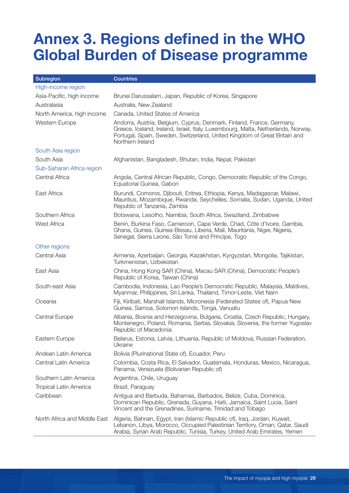### Annex 3. Regions defined in the WHO Global Burden of Disease programme

| <b>Subregion</b>             | <b>Countries</b>                                                                                                                                                                                                                                           |
|------------------------------|------------------------------------------------------------------------------------------------------------------------------------------------------------------------------------------------------------------------------------------------------------|
| High-income region           |                                                                                                                                                                                                                                                            |
| Asia-Pacific, high income    | Brunei Darussalam, Japan, Republic of Korea, Singapore                                                                                                                                                                                                     |
| Australasia                  | Australia, New Zealand                                                                                                                                                                                                                                     |
| North America, high income   | Canada, United States of America                                                                                                                                                                                                                           |
| Western Europe               | Andorra, Austria, Belgium, Cyprus, Denmark, Finland, France, Germany,<br>Greece, Iceland, Ireland, Israel, Italy, Luxembourg, Malta, Netherlands, Norway,<br>Portugal, Spain, Sweden, Switzerland, United Kingdom of Great Britain and<br>Northern Ireland |
| South Asia region            |                                                                                                                                                                                                                                                            |
| South Asia                   | Afghanistan, Bangladesh, Bhutan, India, Nepal, Pakistan                                                                                                                                                                                                    |
| Sub-Saharan Africa region    |                                                                                                                                                                                                                                                            |
| Central Africa               | Angola, Central African Republic, Congo, Democratic Republic of the Congo,<br>Equatorial Guinea, Gabon                                                                                                                                                     |
| East Africa                  | Burundi, Comoros, Djibouti, Eritrea, Ethiopia, Kenya, Madagascar, Malawi,<br>Mauritius, Mozambique, Rwanda, Seychelles, Somalia, Sudan, Uganda, United<br>Republic of Tanzania, Zambia                                                                     |
| Southern Africa              | Botswana, Lesotho, Namibia, South Africa, Swaziland, Zimbabwe                                                                                                                                                                                              |
| West Africa                  | Benin, Burkina Faso, Cameroon, Cape Verde, Chad, Côte d'Ivoire, Gambia,<br>Ghana, Guinea, Guinea-Bissau, Liberia, Mali, Mauritania, Niger, Nigeria,<br>Senegal, Sierra Leone, São Tomé and Príncipe, Togo                                                  |
| Other regions                |                                                                                                                                                                                                                                                            |
| Central Asia                 | Armenia, Azerbaijan, Georgia, Kazakhstan, Kyrgyzstan, Mongolia, Tajikistan,<br>Turkmenistan, Uzbekistan                                                                                                                                                    |
| East Asia                    | China, Hong Kong SAR (China), Macau SAR (China), Democratic People's<br>Republic of Korea, Taiwan (China)                                                                                                                                                  |
| South-east Asia              | Cambodia, Indonesia, Lao People's Democratic Republic, Malaysia, Maldives,<br>Myanmar, Philippines, Sri Lanka, Thailand, Timor-Leste, Viet Nam                                                                                                             |
| Oceania                      | Fiji, Kiribati, Marshall Islands, Micronesia (Federated States of), Papua New<br>Guinea, Samoa, Solomon Islands, Tonga, Vanuatu                                                                                                                            |
| <b>Central Europe</b>        | Albania, Bosnia and Herzegovina, Bulgaria, Croatia, Czech Republic, Hungary,<br>Montenegro, Poland, Romania, Serbia, Slovakia, Slovenia, the former Yugoslav<br>Republic of Macedonia                                                                      |
| Eastern Europe               | Belarus, Estonia, Latvia, Lithuania, Republic of Moldova, Russian Federation,<br>Ukraine                                                                                                                                                                   |
| Andean Latin America         | Bolivia (Plurinational State of), Ecuador, Peru                                                                                                                                                                                                            |
| Central Latin America        | Colombia, Costa Rica, El Salvador, Guatemala, Honduras, Mexico, Nicaragua,<br>Panama, Venezuela (Bolivarian Republic of)                                                                                                                                   |
| Southern Latin America       | Argentina, Chile, Uruguay                                                                                                                                                                                                                                  |
| Tropical Latin America       | Brazil, Paraguay                                                                                                                                                                                                                                           |
| Caribbean                    | Antigua and Barbuda, Bahamas, Barbados, Belize, Cuba, Dominica,<br>Dominican Republic, Grenada, Guyana, Haiti, Jamaica, Saint Lucia, Saint<br>Vincent and the Grenadines, Suriname, Trinidad and Tobago                                                    |
| North Africa and Middle East | Algeria, Bahrain, Egypt, Iran (Islamic Republic of), Iraq, Jordan, Kuwait,<br>Lebanon, Libya, Morocco, Occupied Palestinian Territory, Oman, Qatar, Saudi<br>Arabia, Syrian Arab Republic, Tunisia, Turkey, United Arab Emirates, Yemen                    |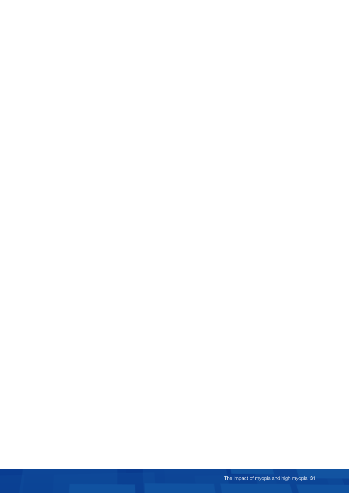The impact of myopia and high myopia 31